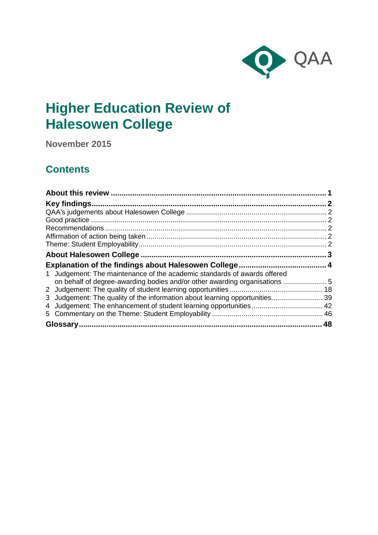

# **Higher Education Review of Halesowen College**

**November 2015**

## **Contents**

| 1 Judgement: The maintenance of the academic standards of awards offered    |  |
|-----------------------------------------------------------------------------|--|
| on behalf of degree-awarding bodies and/or other awarding organisations 5   |  |
|                                                                             |  |
|                                                                             |  |
| 3 Judgement: The quality of the information about learning opportunities 39 |  |
|                                                                             |  |
|                                                                             |  |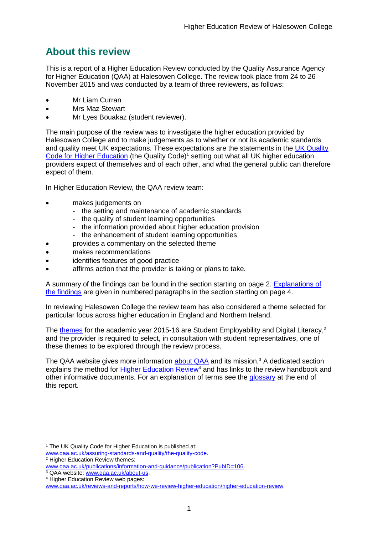## <span id="page-1-0"></span>**About this review**

This is a report of a Higher Education Review conducted by the Quality Assurance Agency for Higher Education (QAA) at Halesowen College. The review took place from 24 to 26 November 2015 and was conducted by a team of three reviewers, as follows:

- Mr Liam Curran
- Mrs Maz Stewart
- Mr Lyes Bouakaz (student reviewer).

The main purpose of the review was to investigate the higher education provided by Halesowen College and to make judgements as to whether or not its academic standards and quality meet UK expectations. These expectations are the statements in the [UK Quality](http://www.qaa.ac.uk/assuring-standards-and-quality/the-quality-code)  [Code for Higher Education](http://www.qaa.ac.uk/assuring-standards-and-quality/the-quality-code) (the Quality Code)<sup>1</sup> setting out what all UK higher education [providers](http://newlive.qaa.ac.uk/AboutUs/glossary/Pages/glossary-h.aspx#h2.1) expect of themselves and of each other, and what the general public can therefore expect of them.

In Higher Education Review, the QAA review team:

- makes judgements on
	- the setting and maintenance of academic standards
	- the quality of student learning opportunities
	- the information provided about higher education provision
	- the enhancement of student learning opportunities
	- provides a commentary on the selected theme
- makes recommendations
- identifies features of good practice
- affirms action that the provider is taking or plans to take.

A summary of the findings can be found in the section starting on page 2. [Explanations of](#page-4-0)  [the findings](#page-4-0) are given in numbered paragraphs in the section starting on page 4.

In reviewing Halesowen College the review team has also considered a theme selected for particular focus across higher education in England and Northern Ireland.

The [themes](http://www.qaa.ac.uk/publications/information-and-guidance/publication?PubID=106) for the academic year 2015-16 are Student Employability and Digital Literacy,<sup>2</sup> and the provider is required to select, in consultation with student representatives, one of these themes to be explored through the review process.

The QAA website gives more information [about QAA](http://www.qaa.ac.uk/aboutus/pages/default.aspx) and its mission.<sup>3</sup> A dedicated section explains the method for [Higher Education](http://www.qaa.ac.uk/reviews-and-reports/how-we-review-higher-education/higher-education-review) Review<sup>4</sup> and has links to the review handbook and other informative documents. For an explanation of terms see the [glossary](#page-47-0) at the end of this report.

-

<sup>&</sup>lt;sup>1</sup> The UK Quality Code for Higher Education is published at:

[www.qaa.ac.uk/assuring-standards-and-quality/the-quality-code.](http://www.qaa.ac.uk/assuring-standards-and-quality/the-quality-code)

<sup>&</sup>lt;sup>2</sup> Higher Education Review themes: [www.qaa.ac.uk/publications/information-and-guidance/publication?PubID=106.](http://www.qaa.ac.uk/publications/information-and-guidance/publication?PubID=106)

<sup>&</sup>lt;sup>3</sup> QAA website: [www.qaa.ac.uk/about-us.](http://www.qaa.ac.uk/about-us)

<sup>4</sup> Higher Education Review web pages:

[www.qaa.ac.uk/reviews-and-reports/how-we-review-higher-education/higher-education-review.](http://www.qaa.ac.uk/reviews-and-reports/how-we-review-higher-education/higher-education-review)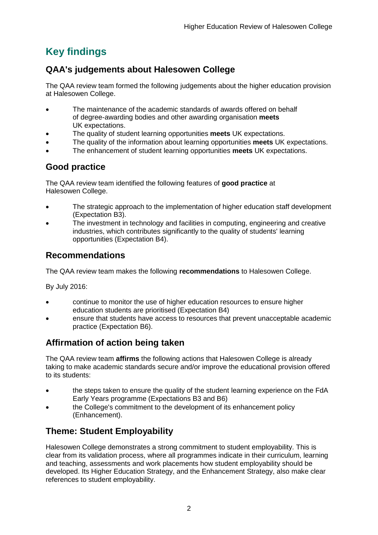## <span id="page-2-0"></span>**Key findings**

## <span id="page-2-1"></span>**QAA's judgements about Halesowen College**

The QAA review team formed the following judgements about the higher education provision at Halesowen College.

- The maintenance of the academic standards of awards offered on behalf of degree-awarding bodies and other awarding organisation **meets** UK expectations.
- The quality of student learning opportunities **meets** UK expectations.
- The quality of the information about learning opportunities **meets** UK expectations.
- The enhancement of student learning opportunities **meets** UK expectations.

## <span id="page-2-2"></span>**Good practice**

The QAA review team identified the following features of **good practice** at Halesowen College.

- The strategic approach to the implementation of higher education staff development (Expectation B3).
- The investment in technology and facilities in computing, engineering and creative industries, which contributes significantly to the quality of students' learning opportunities (Expectation B4).

## <span id="page-2-3"></span>**Recommendations**

The QAA review team makes the following **recommendations** to Halesowen College.

By July 2016:

- continue to monitor the use of higher education resources to ensure higher education students are prioritised (Expectation B4)
- ensure that students have access to resources that prevent unacceptable academic practice (Expectation B6).

## <span id="page-2-4"></span>**Affirmation of action being taken**

The QAA review team **affirms** the following actions that Halesowen College is already taking to make academic standards secure and/or improve the educational provision offered to its students:

- the steps taken to ensure the quality of the student learning experience on the FdA Early Years programme (Expectations B3 and B6)
- the College's commitment to the development of its enhancement policy (Enhancement).

## <span id="page-2-5"></span>**Theme: Student Employability**

Halesowen College demonstrates a strong commitment to student employability. This is clear from its validation process, where all programmes indicate in their curriculum, learning and teaching, assessments and work placements how student employability should be developed. Its Higher Education Strategy, and the Enhancement Strategy, also make clear references to student employability.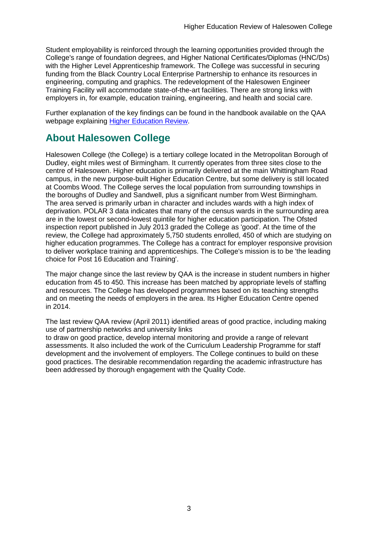Student employability is reinforced through the learning opportunities provided through the College's range of foundation degrees, and Higher National Certificates/Diplomas (HNC/Ds) with the Higher Level Apprenticeship framework. The College was successful in securing funding from the Black Country Local Enterprise Partnership to enhance its resources in engineering, computing and graphics. The redevelopment of the Halesowen Engineer Training Facility will accommodate state-of-the-art facilities. There are strong links with employers in, for example, education training, engineering, and health and social care.

Further explanation of the key findings can be found in the handbook available on the QAA webpage explaining [Higher Education Review.](http://www.qaa.ac.uk/reviews-and-reports/how-we-review-higher-education/higher-education-review)

## <span id="page-3-0"></span>**About Halesowen College**

Halesowen College (the College) is a tertiary college located in the Metropolitan Borough of Dudley, eight miles west of Birmingham. It currently operates from three sites close to the centre of Halesowen. Higher education is primarily delivered at the main Whittingham Road campus, in the new purpose-built Higher Education Centre, but some delivery is still located at Coombs Wood. The College serves the local population from surrounding townships in the boroughs of Dudley and Sandwell, plus a significant number from West Birmingham. The area served is primarily urban in character and includes wards with a high index of deprivation. POLAR 3 data indicates that many of the census wards in the surrounding area are in the lowest or second-lowest quintile for higher education participation. The Ofsted inspection report published in July 2013 graded the College as 'good'. At the time of the review, the College had approximately 5,750 students enrolled, 450 of which are studying on higher education programmes. The College has a contract for employer responsive provision to deliver workplace training and apprenticeships. The College's mission is to be 'the leading choice for Post 16 Education and Training'.

The major change since the last review by QAA is the increase in student numbers in higher education from 45 to 450. This increase has been matched by appropriate levels of staffing and resources. The College has developed programmes based on its teaching strengths and on meeting the needs of employers in the area. Its Higher Education Centre opened in 2014.

The last review QAA review (April 2011) identified areas of good practice, including making use of partnership networks and university links

to draw on good practice, develop internal monitoring and provide a range of relevant assessments. It also included the work of the Curriculum Leadership Programme for staff development and the involvement of employers. The College continues to build on these good practices. The desirable recommendation regarding the academic infrastructure has been addressed by thorough engagement with the Quality Code.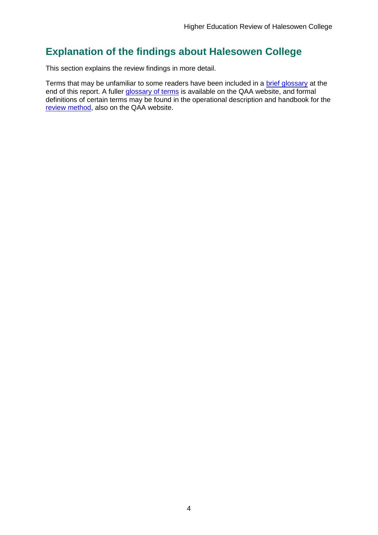## <span id="page-4-0"></span>**Explanation of the findings about Halesowen College**

This section explains the review findings in more detail.

Terms that may be unfamiliar to some readers have been included in a [brief glossary](#page-47-0) at the end of this report. A fuller [glossary of terms](http://www.qaa.ac.uk/Pages/GlossaryEN.aspx) is available on the QAA website, and formal definitions of certain terms may be found in the operational description and handbook for the [review method,](http://www.qaa.ac.uk/reviews-and-reports/how-we-review-higher-education/higher-education-review) also on the QAA website.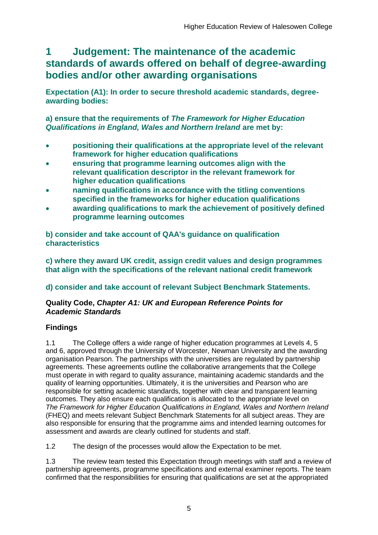## <span id="page-5-0"></span>**1 Judgement: The maintenance of the academic standards of awards offered on behalf of degree-awarding bodies and/or other awarding organisations**

**Expectation (A1): In order to secure threshold academic standards, degreeawarding bodies:** 

**a) ensure that the requirements of** *The Framework for Higher Education Qualifications in England, Wales and Northern Ireland* **are met by:**

- **positioning their qualifications at the appropriate level of the relevant framework for higher education qualifications**
- **ensuring that programme learning outcomes align with the relevant qualification descriptor in the relevant framework for higher education qualifications**
- **naming qualifications in accordance with the titling conventions specified in the frameworks for higher education qualifications**
- **awarding qualifications to mark the achievement of positively defined programme learning outcomes**

**b) consider and take account of QAA's guidance on qualification characteristics** 

**c) where they award UK credit, assign credit values and design programmes that align with the specifications of the relevant national credit framework** 

## **d) consider and take account of relevant Subject Benchmark Statements.**

### **Quality Code,** *Chapter A1: UK and European Reference Points for Academic Standards*

### **Findings**

1.1 The College offers a wide range of higher education programmes at Levels 4, 5 and 6, approved through the University of Worcester, Newman University and the awarding organisation Pearson. The partnerships with the universities are regulated by partnership agreements. These agreements outline the collaborative arrangements that the College must operate in with regard to quality assurance, maintaining academic standards and the quality of learning opportunities. Ultimately, it is the universities and Pearson who are responsible for setting academic standards, together with clear and transparent learning outcomes. They also ensure each qualification is allocated to the appropriate level on *The Framework for Higher Education Qualifications in England, Wales and Northern Ireland* (FHEQ) and meets relevant Subject Benchmark Statements for all subject areas. They are also responsible for ensuring that the programme aims and intended learning outcomes for assessment and awards are clearly outlined for students and staff.

1.2 The design of the processes would allow the Expectation to be met.

1.3 The review team tested this Expectation through meetings with staff and a review of partnership agreements, programme specifications and external examiner reports. The team confirmed that the responsibilities for ensuring that qualifications are set at the appropriated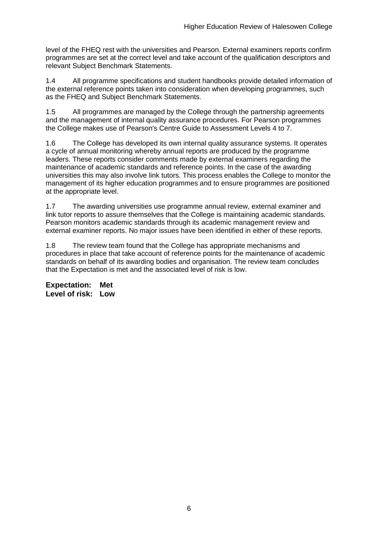level of the FHEQ rest with the universities and Pearson. External examiners reports confirm programmes are set at the correct level and take account of the qualification descriptors and relevant Subject Benchmark Statements.

1.4 All programme specifications and student handbooks provide detailed information of the external reference points taken into consideration when developing programmes, such as the FHEQ and Subject Benchmark Statements.

1.5 All programmes are managed by the College through the partnership agreements and the management of internal quality assurance procedures. For Pearson programmes the College makes use of Pearson's Centre Guide to Assessment Levels 4 to 7.

1.6 The College has developed its own internal quality assurance systems. It operates a cycle of annual monitoring whereby annual reports are produced by the programme leaders. These reports consider comments made by external examiners regarding the maintenance of academic standards and reference points. In the case of the awarding universities this may also involve link tutors. This process enables the College to monitor the management of its higher education programmes and to ensure programmes are positioned at the appropriate level.

1.7 The awarding universities use programme annual review, external examiner and link tutor reports to assure themselves that the College is maintaining academic standards. Pearson monitors academic standards through its academic management review and external examiner reports. No major issues have been identified in either of these reports.

1.8 The review team found that the College has appropriate mechanisms and procedures in place that take account of reference points for the maintenance of academic standards on behalf of its awarding bodies and organisation. The review team concludes that the Expectation is met and the associated level of risk is low.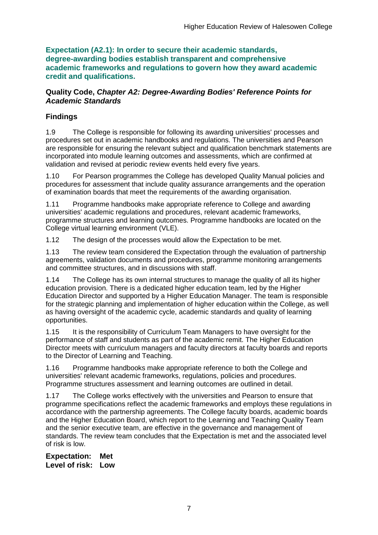**Expectation (A2.1): In order to secure their academic standards, degree-awarding bodies establish transparent and comprehensive academic frameworks and regulations to govern how they award academic credit and qualifications.**

### **Quality Code,** *Chapter A2: Degree-Awarding Bodies' Reference Points for Academic Standards*

## **Findings**

1.9 The College is responsible for following its awarding universities' processes and procedures set out in academic handbooks and regulations. The universities and Pearson are responsible for ensuring the relevant subject and qualification benchmark statements are incorporated into module learning outcomes and assessments, which are confirmed at validation and revised at periodic review events held every five years.

1.10 For Pearson programmes the College has developed Quality Manual policies and procedures for assessment that include quality assurance arrangements and the operation of examination boards that meet the requirements of the awarding organisation.

1.11 Programme handbooks make appropriate reference to College and awarding universities' academic regulations and procedures, relevant academic frameworks, programme structures and learning outcomes. Programme handbooks are located on the College virtual learning environment (VLE).

1.12 The design of the processes would allow the Expectation to be met.

1.13 The review team considered the Expectation through the evaluation of partnership agreements, validation documents and procedures, programme monitoring arrangements and committee structures, and in discussions with staff.

1.14 The College has its own internal structures to manage the quality of all its higher education provision. There is a dedicated higher education team, led by the Higher Education Director and supported by a Higher Education Manager. The team is responsible for the strategic planning and implementation of higher education within the College, as well as having oversight of the academic cycle, academic standards and quality of learning opportunities.

1.15 It is the responsibility of Curriculum Team Managers to have oversight for the performance of staff and students as part of the academic remit. The Higher Education Director meets with curriculum managers and faculty directors at faculty boards and reports to the Director of Learning and Teaching.

1.16 Programme handbooks make appropriate reference to both the College and universities' relevant academic frameworks, regulations, policies and procedures. Programme structures assessment and learning outcomes are outlined in detail.

1.17 The College works effectively with the universities and Pearson to ensure that programme specifications reflect the academic frameworks and employs these regulations in accordance with the partnership agreements. The College faculty boards, academic boards and the Higher Education Board, which report to the Learning and Teaching Quality Team and the senior executive team, are effective in the governance and management of standards. The review team concludes that the Expectation is met and the associated level of risk is low.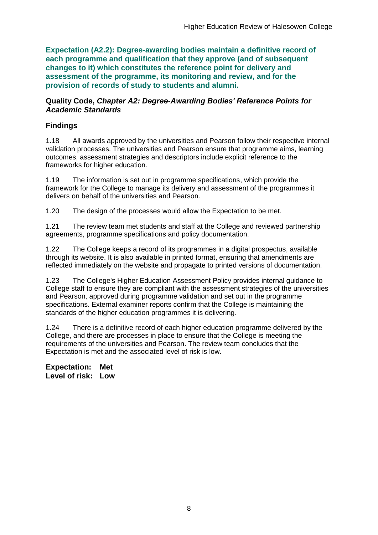**Expectation (A2.2): Degree-awarding bodies maintain a definitive record of each programme and qualification that they approve (and of subsequent changes to it) which constitutes the reference point for delivery and assessment of the programme, its monitoring and review, and for the provision of records of study to students and alumni.** 

#### **Quality Code,** *Chapter A2: Degree-Awarding Bodies' Reference Points for Academic Standards*

### **Findings**

1.18 All awards approved by the universities and Pearson follow their respective internal validation processes. The universities and Pearson ensure that programme aims, learning outcomes, assessment strategies and descriptors include explicit reference to the frameworks for higher education.

1.19 The information is set out in programme specifications, which provide the framework for the College to manage its delivery and assessment of the programmes it delivers on behalf of the universities and Pearson.

1.20 The design of the processes would allow the Expectation to be met.

1.21 The review team met students and staff at the College and reviewed partnership agreements, programme specifications and policy documentation.

1.22 The College keeps a record of its programmes in a digital prospectus, available through its website. It is also available in printed format, ensuring that amendments are reflected immediately on the website and propagate to printed versions of documentation.

1.23 The College's Higher Education Assessment Policy provides internal guidance to College staff to ensure they are compliant with the assessment strategies of the universities and Pearson, approved during programme validation and set out in the programme specifications. External examiner reports confirm that the College is maintaining the standards of the higher education programmes it is delivering.

1.24 There is a definitive record of each higher education programme delivered by the College, and there are processes in place to ensure that the College is meeting the requirements of the universities and Pearson. The review team concludes that the Expectation is met and the associated level of risk is low.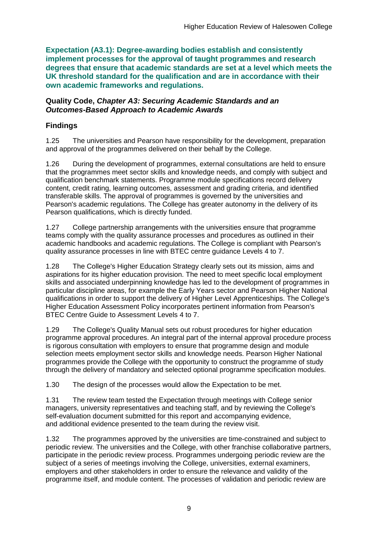**Expectation (A3.1): Degree-awarding bodies establish and consistently implement processes for the approval of taught programmes and research degrees that ensure that academic standards are set at a level which meets the UK threshold standard for the qualification and are in accordance with their own academic frameworks and regulations.**

#### **Quality Code,** *Chapter A3: Securing Academic Standards and an Outcomes-Based Approach to Academic Awards*

## **Findings**

1.25 The universities and Pearson have responsibility for the development, preparation and approval of the programmes delivered on their behalf by the College.

1.26 During the development of programmes, external consultations are held to ensure that the programmes meet sector skills and knowledge needs, and comply with subject and qualification benchmark statements. Programme module specifications record delivery content, credit rating, learning outcomes, assessment and grading criteria, and identified transferable skills. The approval of programmes is governed by the universities and Pearson's academic regulations. The College has greater autonomy in the delivery of its Pearson qualifications, which is directly funded.

1.27 College partnership arrangements with the universities ensure that programme teams comply with the quality assurance processes and procedures as outlined in their academic handbooks and academic regulations. The College is compliant with Pearson's quality assurance processes in line with BTEC centre guidance Levels 4 to 7.

1.28 The College's Higher Education Strategy clearly sets out its mission, aims and aspirations for its higher education provision. The need to meet specific local employment skills and associated underpinning knowledge has led to the development of programmes in particular discipline areas, for example the Early Years sector and Pearson Higher National qualifications in order to support the delivery of Higher Level Apprenticeships. The College's Higher Education Assessment Policy incorporates pertinent information from Pearson's BTEC Centre Guide to Assessment Levels 4 to 7.

1.29 The College's Quality Manual sets out robust procedures for higher education programme approval procedures. An integral part of the internal approval procedure process is rigorous consultation with employers to ensure that programme design and module selection meets employment sector skills and knowledge needs. Pearson Higher National programmes provide the College with the opportunity to construct the programme of study through the delivery of mandatory and selected optional programme specification modules.

1.30 The design of the processes would allow the Expectation to be met.

1.31 The review team tested the Expectation through meetings with College senior managers, university representatives and teaching staff, and by reviewing the College's self-evaluation document submitted for this report and accompanying evidence, and additional evidence presented to the team during the review visit.

1.32 The programmes approved by the universities are time-constrained and subject to periodic review. The universities and the College, with other franchise collaborative partners, participate in the periodic review process. Programmes undergoing periodic review are the subject of a series of meetings involving the College, universities, external examiners, employers and other stakeholders in order to ensure the relevance and validity of the programme itself, and module content. The processes of validation and periodic review are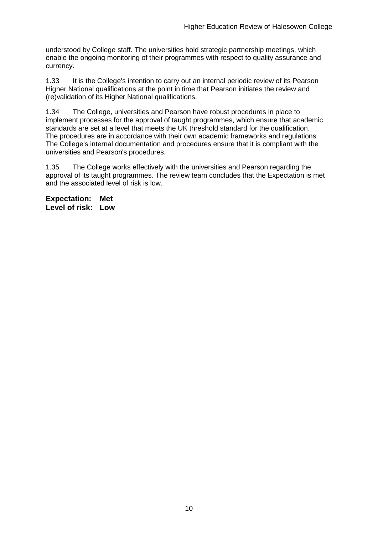understood by College staff. The universities hold strategic partnership meetings, which enable the ongoing monitoring of their programmes with respect to quality assurance and currency.

1.33 It is the College's intention to carry out an internal periodic review of its Pearson Higher National qualifications at the point in time that Pearson initiates the review and (re)validation of its Higher National qualifications.

1.34 The College, universities and Pearson have robust procedures in place to implement processes for the approval of taught programmes, which ensure that academic standards are set at a level that meets the UK threshold standard for the qualification. The procedures are in accordance with their own academic frameworks and regulations. The College's internal documentation and procedures ensure that it is compliant with the universities and Pearson's procedures.

1.35 The College works effectively with the universities and Pearson regarding the approval of its taught programmes. The review team concludes that the Expectation is met and the associated level of risk is low.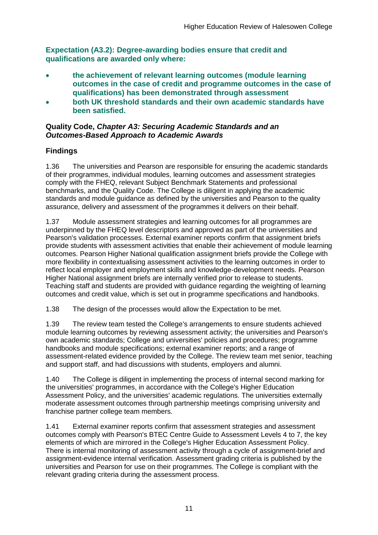**Expectation (A3.2): Degree-awarding bodies ensure that credit and qualifications are awarded only where:** 

- **the achievement of relevant learning outcomes (module learning outcomes in the case of credit and programme outcomes in the case of qualifications) has been demonstrated through assessment**
- **both UK threshold standards and their own academic standards have been satisfied.**

### **Quality Code,** *Chapter A3: Securing Academic Standards and an Outcomes-Based Approach to Academic Awards*

## **Findings**

1.36 The universities and Pearson are responsible for ensuring the academic standards of their programmes, individual modules, learning outcomes and assessment strategies comply with the FHEQ, relevant Subject Benchmark Statements and professional benchmarks, and the Quality Code. The College is diligent in applying the academic standards and module guidance as defined by the universities and Pearson to the quality assurance, delivery and assessment of the programmes it delivers on their behalf.

1.37 Module assessment strategies and learning outcomes for all programmes are underpinned by the FHEQ level descriptors and approved as part of the universities and Pearson's validation processes. External examiner reports confirm that assignment briefs provide students with assessment activities that enable their achievement of module learning outcomes. Pearson Higher National qualification assignment briefs provide the College with more flexibility in contextualising assessment activities to the learning outcomes in order to reflect local employer and employment skills and knowledge-development needs. Pearson Higher National assignment briefs are internally verified prior to release to students. Teaching staff and students are provided with guidance regarding the weighting of learning outcomes and credit value, which is set out in programme specifications and handbooks.

1.38 The design of the processes would allow the Expectation to be met.

1.39 The review team tested the College's arrangements to ensure students achieved module learning outcomes by reviewing assessment activity; the universities and Pearson's own academic standards; College and universities' policies and procedures; programme handbooks and module specifications; external examiner reports; and a range of assessment-related evidence provided by the College. The review team met senior, teaching and support staff, and had discussions with students, employers and alumni.

1.40 The College is diligent in implementing the process of internal second marking for the universities' programmes, in accordance with the College's Higher Education Assessment Policy, and the universities' academic regulations. The universities externally moderate assessment outcomes through partnership meetings comprising university and franchise partner college team members.

1.41 External examiner reports confirm that assessment strategies and assessment outcomes comply with Pearson's BTEC Centre Guide to Assessment Levels 4 to 7, the key elements of which are mirrored in the College's Higher Education Assessment Policy. There is internal monitoring of assessment activity through a cycle of assignment-brief and assignment-evidence internal verification. Assessment grading criteria is published by the universities and Pearson for use on their programmes. The College is compliant with the relevant grading criteria during the assessment process.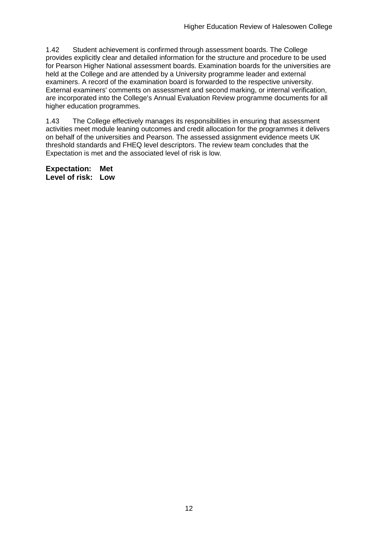1.42 Student achievement is confirmed through assessment boards. The College provides explicitly clear and detailed information for the structure and procedure to be used for Pearson Higher National assessment boards. Examination boards for the universities are held at the College and are attended by a University programme leader and external examiners. A record of the examination board is forwarded to the respective university. External examiners' comments on assessment and second marking, or internal verification, are incorporated into the College's Annual Evaluation Review programme documents for all higher education programmes.

1.43 The College effectively manages its responsibilities in ensuring that assessment activities meet module leaning outcomes and credit allocation for the programmes it delivers on behalf of the universities and Pearson. The assessed assignment evidence meets UK threshold standards and FHEQ level descriptors. The review team concludes that the Expectation is met and the associated level of risk is low.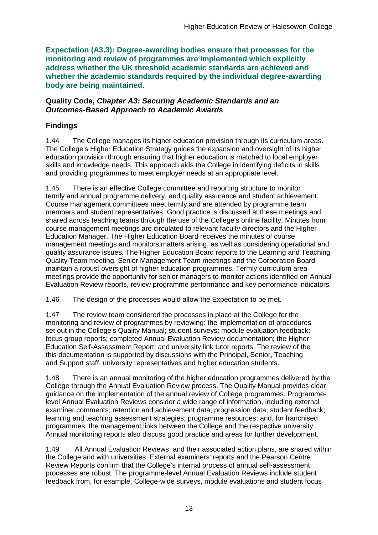**Expectation (A3.3): Degree-awarding bodies ensure that processes for the monitoring and review of programmes are implemented which explicitly address whether the UK threshold academic standards are achieved and whether the academic standards required by the individual degree-awarding body are being maintained.**

#### **Quality Code,** *Chapter A3: Securing Academic Standards and an Outcomes-Based Approach to Academic Awards*

### **Findings**

1.44 The College manages its higher education provision through its curriculum areas. The College's Higher Education Strategy guides the expansion and oversight of its higher education provision through ensuring that higher education is matched to local employer skills and knowledge needs. This approach aids the College in identifying deficits in skills and providing programmes to meet employer needs at an appropriate level.

1.45 There is an effective College committee and reporting structure to monitor termly and annual programme delivery, and quality assurance and student achievement. Course management committees meet termly and are attended by programme team members and student representatives. Good practice is discussed at these meetings and shared across teaching teams through the use of the College's online facility. Minutes from course management meetings are circulated to relevant faculty directors and the Higher Education Manager. The Higher Education Board receives the minutes of course management meetings and monitors matters arising, as well as considering operational and quality assurance issues. The Higher Education Board reports to the Learning and Teaching Quality Team meeting. Senior Management Team meetings and the Corporation Board maintain a robust oversight of higher education programmes. Termly curriculum area meetings provide the opportunity for senior managers to monitor actions identified on Annual Evaluation Review reports, review programme performance and key performance indicators.

1.46 The design of the processes would allow the Expectation to be met.

1.47 The review team considered the processes in place at the College for the monitoring and review of programmes by reviewing: the implementation of procedures set out in the College's Quality Manual; student surveys; module evaluation feedback; focus group reports; completed Annual Evaluation Review documentation; the Higher Education Self-Assessment Report; and university link tutor reports. The review of the this documentation is supported by discussions with the Principal, Senior, Teaching and Support staff, university representatives and higher education students.

1.48 There is an annual monitoring of the higher education programmes delivered by the College through the Annual Evaluation Review process. The Quality Manual provides clear guidance on the implementation of the annual review of College programmes. Programmelevel Annual Evaluation Reviews consider a wide range of information, including external examiner comments; retention and achievement data; progression data; student feedback; learning and teaching assessment strategies; programme resources; and, for franchised programmes, the management links between the College and the respective university. Annual monitoring reports also discuss good practice and areas for further development.

1.49 All Annual Evaluation Reviews, and their associated action plans, are shared within the College and with universities. External examiners' reports and the Pearson Centre Review Reports confirm that the College's internal process of annual self-assessment processes are robust. The programme-level Annual Evaluation Reviews include student feedback from, for example, College-wide surveys, module evaluations and student focus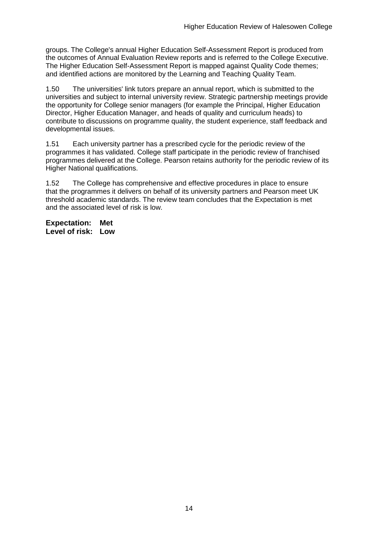groups. The College's annual Higher Education Self-Assessment Report is produced from the outcomes of Annual Evaluation Review reports and is referred to the College Executive. The Higher Education Self-Assessment Report is mapped against Quality Code themes; and identified actions are monitored by the Learning and Teaching Quality Team.

1.50 The universities' link tutors prepare an annual report, which is submitted to the universities and subject to internal university review. Strategic partnership meetings provide the opportunity for College senior managers (for example the Principal, Higher Education Director, Higher Education Manager, and heads of quality and curriculum heads) to contribute to discussions on programme quality, the student experience, staff feedback and developmental issues.

1.51 Each university partner has a prescribed cycle for the periodic review of the programmes it has validated. College staff participate in the periodic review of franchised programmes delivered at the College. Pearson retains authority for the periodic review of its Higher National qualifications.

1.52 The College has comprehensive and effective procedures in place to ensure that the programmes it delivers on behalf of its university partners and Pearson meet UK threshold academic standards. The review team concludes that the Expectation is met and the associated level of risk is low.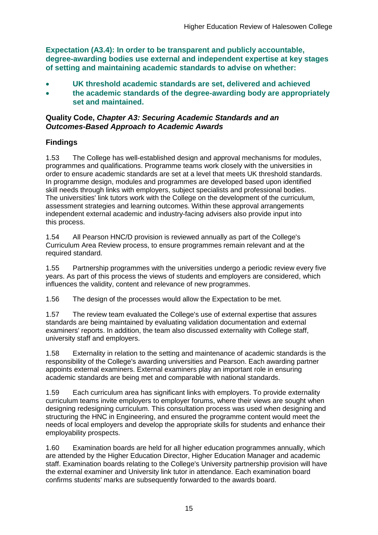**Expectation (A3.4): In order to be transparent and publicly accountable, degree-awarding bodies use external and independent expertise at key stages of setting and maintaining academic standards to advise on whether:**

- **UK threshold academic standards are set, delivered and achieved**
- **the academic standards of the degree-awarding body are appropriately set and maintained.**

#### **Quality Code,** *Chapter A3: Securing Academic Standards and an Outcomes-Based Approach to Academic Awards*

### **Findings**

1.53 The College has well-established design and approval mechanisms for modules, programmes and qualifications. Programme teams work closely with the universities in order to ensure academic standards are set at a level that meets UK threshold standards. In programme design, modules and programmes are developed based upon identified skill needs through links with employers, subject specialists and professional bodies. The universities' link tutors work with the College on the development of the curriculum, assessment strategies and learning outcomes. Within these approval arrangements independent external academic and industry-facing advisers also provide input into this process.

1.54 All Pearson HNC/D provision is reviewed annually as part of the College's Curriculum Area Review process, to ensure programmes remain relevant and at the required standard.

1.55 Partnership programmes with the universities undergo a periodic review every five years. As part of this process the views of students and employers are considered, which influences the validity, content and relevance of new programmes.

1.56 The design of the processes would allow the Expectation to be met.

1.57 The review team evaluated the College's use of external expertise that assures standards are being maintained by evaluating validation documentation and external examiners' reports. In addition, the team also discussed externality with College staff, university staff and employers.

1.58 Externality in relation to the setting and maintenance of academic standards is the responsibility of the College's awarding universities and Pearson. Each awarding partner appoints external examiners. External examiners play an important role in ensuring academic standards are being met and comparable with national standards.

1.59 Each curriculum area has significant links with employers. To provide externality curriculum teams invite employers to employer forums, where their views are sought when designing redesigning curriculum. This consultation process was used when designing and structuring the HNC in Engineering, and ensured the programme content would meet the needs of local employers and develop the appropriate skills for students and enhance their employability prospects.

1.60 Examination boards are held for all higher education programmes annually, which are attended by the Higher Education Director, Higher Education Manager and academic staff. Examination boards relating to the College's University partnership provision will have the external examiner and University link tutor in attendance. Each examination board confirms students' marks are subsequently forwarded to the awards board.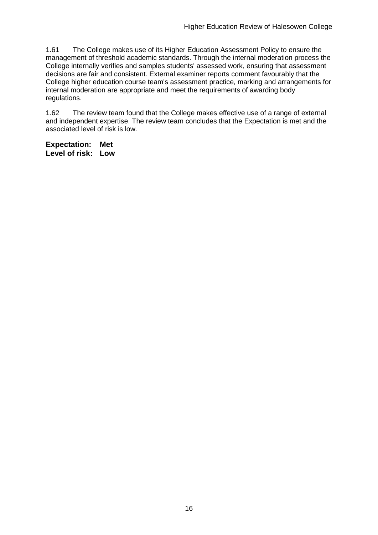1.61 The College makes use of its Higher Education Assessment Policy to ensure the management of threshold academic standards. Through the internal moderation process the College internally verifies and samples students' assessed work, ensuring that assessment decisions are fair and consistent. External examiner reports comment favourably that the College higher education course team's assessment practice, marking and arrangements for internal moderation are appropriate and meet the requirements of awarding body regulations.

1.62 The review team found that the College makes effective use of a range of external and independent expertise. The review team concludes that the Expectation is met and the associated level of risk is low.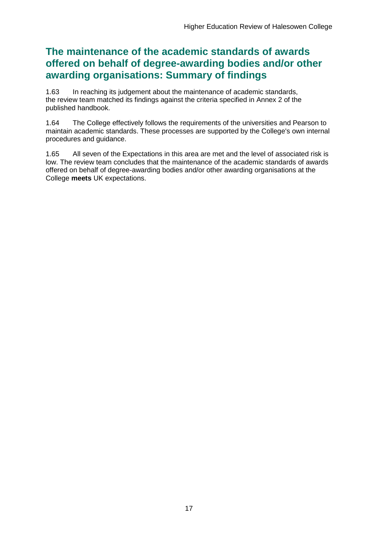## **The maintenance of the academic standards of awards offered on behalf of degree-awarding bodies and/or other awarding organisations: Summary of findings**

1.63 In reaching its judgement about the maintenance of academic standards, the review team matched its findings against the criteria specified in Annex 2 of the published handbook.

1.64 The College effectively follows the requirements of the universities and Pearson to maintain academic standards. These processes are supported by the College's own internal procedures and guidance.

1.65 All seven of the Expectations in this area are met and the level of associated risk is low. The review team concludes that the maintenance of the academic standards of awards offered on behalf of degree-awarding bodies and/or other awarding organisations at the College **meets** UK expectations.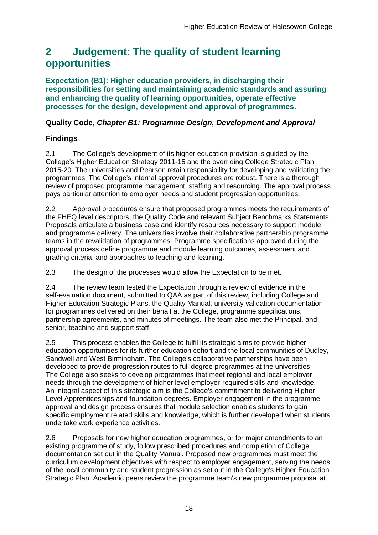## <span id="page-18-0"></span>**2 Judgement: The quality of student learning opportunities**

**Expectation (B1): Higher education providers, in discharging their responsibilities for setting and maintaining academic standards and assuring and enhancing the quality of learning opportunities, operate effective processes for the design, development and approval of programmes.**

### **Quality Code,** *Chapter B1: Programme Design, Development and Approval*

### **Findings**

2.1 The College's development of its higher education provision is guided by the College's Higher Education Strategy 2011-15 and the overriding College Strategic Plan 2015-20. The universities and Pearson retain responsibility for developing and validating the programmes. The College's internal approval procedures are robust. There is a thorough review of proposed programme management, staffing and resourcing. The approval process pays particular attention to employer needs and student progression opportunities.

2.2 Approval procedures ensure that proposed programmes meets the requirements of the FHEQ level descriptors, the Quality Code and relevant Subject Benchmarks Statements. Proposals articulate a business case and identify resources necessary to support module and programme delivery. The universities involve their collaborative partnership programme teams in the revalidation of programmes. Programme specifications approved during the approval process define programme and module learning outcomes, assessment and grading criteria, and approaches to teaching and learning.

2.3 The design of the processes would allow the Expectation to be met.

2.4 The review team tested the Expectation through a review of evidence in the self-evaluation document, submitted to QAA as part of this review, including College and Higher Education Strategic Plans, the Quality Manual, university validation documentation for programmes delivered on their behalf at the College, programme specifications, partnership agreements, and minutes of meetings. The team also met the Principal, and senior, teaching and support staff.

2.5 This process enables the College to fulfil its strategic aims to provide higher education opportunities for its further education cohort and the local communities of Dudley, Sandwell and West Birmingham. The College's collaborative partnerships have been developed to provide progression routes to full degree programmes at the universities. The College also seeks to develop programmes that meet regional and local employer needs through the development of higher level employer-required skills and knowledge. An integral aspect of this strategic aim is the College's commitment to delivering Higher Level Apprenticeships and foundation degrees. Employer engagement in the programme approval and design process ensures that module selection enables students to gain specific employment related skills and knowledge, which is further developed when students undertake work experience activities.

2.6 Proposals for new higher education programmes, or for major amendments to an existing programme of study, follow prescribed procedures and completion of College documentation set out in the Quality Manual. Proposed new programmes must meet the curriculum development objectives with respect to employer engagement, serving the needs of the local community and student progression as set out in the College's Higher Education Strategic Plan. Academic peers review the programme team's new programme proposal at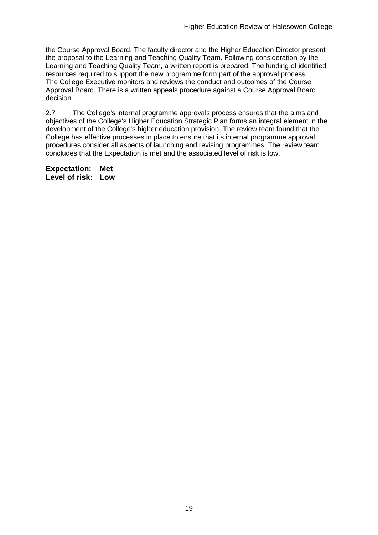the Course Approval Board. The faculty director and the Higher Education Director present the proposal to the Learning and Teaching Quality Team. Following consideration by the Learning and Teaching Quality Team, a written report is prepared. The funding of identified resources required to support the new programme form part of the approval process. The College Executive monitors and reviews the conduct and outcomes of the Course Approval Board. There is a written appeals procedure against a Course Approval Board decision.

2.7 The College's internal programme approvals process ensures that the aims and objectives of the College's Higher Education Strategic Plan forms an integral element in the development of the College's higher education provision. The review team found that the College has effective processes in place to ensure that its internal programme approval procedures consider all aspects of launching and revising programmes. The review team concludes that the Expectation is met and the associated level of risk is low.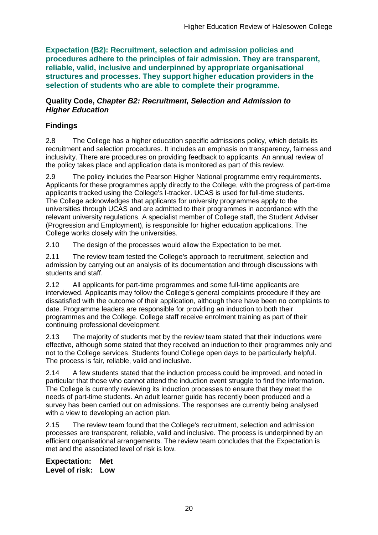**Expectation (B2): Recruitment, selection and admission policies and procedures adhere to the principles of fair admission. They are transparent, reliable, valid, inclusive and underpinned by appropriate organisational structures and processes. They support higher education providers in the selection of students who are able to complete their programme.**

#### **Quality Code,** *Chapter B2: Recruitment, Selection and Admission to Higher Education*

## **Findings**

2.8 The College has a higher education specific admissions policy, which details its recruitment and selection procedures. It includes an emphasis on transparency, fairness and inclusivity. There are procedures on providing feedback to applicants. An annual review of the policy takes place and application data is monitored as part of this review.

2.9 The policy includes the Pearson Higher National programme entry requirements. Applicants for these programmes apply directly to the College, with the progress of part-time applicants tracked using the College's I-tracker. UCAS is used for full-time students. The College acknowledges that applicants for university programmes apply to the universities through UCAS and are admitted to their programmes in accordance with the relevant university regulations. A specialist member of College staff, the Student Adviser (Progression and Employment), is responsible for higher education applications. The College works closely with the universities.

2.10 The design of the processes would allow the Expectation to be met.

2.11 The review team tested the College's approach to recruitment, selection and admission by carrying out an analysis of its documentation and through discussions with students and staff.

2.12 All applicants for part-time programmes and some full-time applicants are interviewed. Applicants may follow the College's general complaints procedure if they are dissatisfied with the outcome of their application, although there have been no complaints to date. Programme leaders are responsible for providing an induction to both their programmes and the College. College staff receive enrolment training as part of their continuing professional development.

2.13 The majority of students met by the review team stated that their inductions were effective, although some stated that they received an induction to their programmes only and not to the College services. Students found College open days to be particularly helpful. The process is fair, reliable, valid and inclusive.

2.14 A few students stated that the induction process could be improved, and noted in particular that those who cannot attend the induction event struggle to find the information. The College is currently reviewing its induction processes to ensure that they meet the needs of part-time students. An adult learner guide has recently been produced and a survey has been carried out on admissions. The responses are currently being analysed with a view to developing an action plan.

2.15 The review team found that the College's recruitment, selection and admission processes are transparent, reliable, valid and inclusive. The process is underpinned by an efficient organisational arrangements. The review team concludes that the Expectation is met and the associated level of risk is low.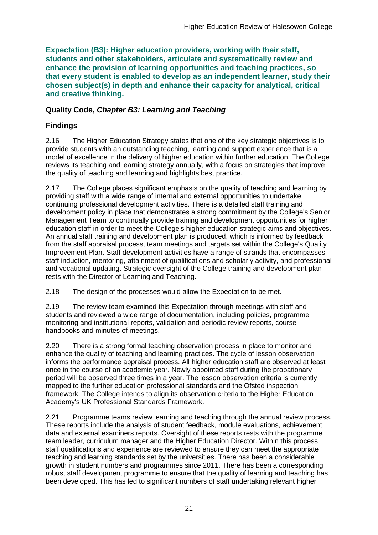**Expectation (B3): Higher education providers, working with their staff, students and other stakeholders, articulate and systematically review and enhance the provision of learning opportunities and teaching practices, so that every student is enabled to develop as an independent learner, study their chosen subject(s) in depth and enhance their capacity for analytical, critical and creative thinking.**

### **Quality Code,** *Chapter B3: Learning and Teaching*

## **Findings**

2.16 The Higher Education Strategy states that one of the key strategic objectives is to provide students with an outstanding teaching, learning and support experience that is a model of excellence in the delivery of higher education within further education. The College reviews its teaching and learning strategy annually, with a focus on strategies that improve the quality of teaching and learning and highlights best practice.

2.17 The College places significant emphasis on the quality of teaching and learning by providing staff with a wide range of internal and external opportunities to undertake continuing professional development activities. There is a detailed staff training and development policy in place that demonstrates a strong commitment by the College's Senior Management Team to continually provide training and development opportunities for higher education staff in order to meet the College's higher education strategic aims and objectives. An annual staff training and development plan is produced, which is informed by feedback from the staff appraisal process, team meetings and targets set within the College's Quality Improvement Plan. Staff development activities have a range of strands that encompasses staff induction, mentoring, attainment of qualifications and scholarly activity, and professional and vocational updating. Strategic oversight of the College training and development plan rests with the Director of Learning and Teaching.

2.18 The design of the processes would allow the Expectation to be met.

2.19 The review team examined this Expectation through meetings with staff and students and reviewed a wide range of documentation, including policies, programme monitoring and institutional reports, validation and periodic review reports, course handbooks and minutes of meetings.

2.20 There is a strong formal teaching observation process in place to monitor and enhance the quality of teaching and learning practices. The cycle of lesson observation informs the performance appraisal process. All higher education staff are observed at least once in the course of an academic year. Newly appointed staff during the probationary period will be observed three times in a year. The lesson observation criteria is currently mapped to the further education professional standards and the Ofsted inspection framework. The College intends to align its observation criteria to the Higher Education Academy's UK Professional Standards Framework.

2.21 Programme teams review learning and teaching through the annual review process. These reports include the analysis of student feedback, module evaluations, achievement data and external examiners reports. Oversight of these reports rests with the programme team leader, curriculum manager and the Higher Education Director. Within this process staff qualifications and experience are reviewed to ensure they can meet the appropriate teaching and learning standards set by the universities. There has been a considerable growth in student numbers and programmes since 2011. There has been a corresponding robust staff development programme to ensure that the quality of learning and teaching has been developed. This has led to significant numbers of staff undertaking relevant higher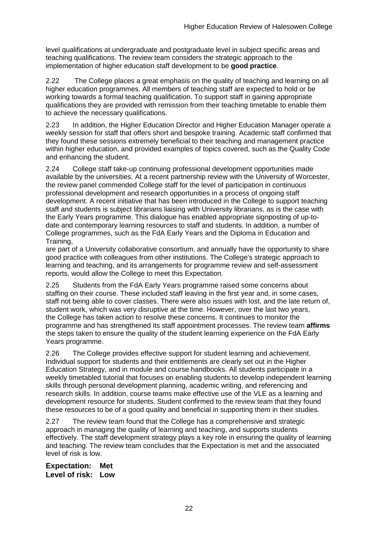level qualifications at undergraduate and postgraduate level in subject specific areas and teaching qualifications. The review team considers the strategic approach to the implementation of higher education staff development to be **good practice**.

2.22 The College places a great emphasis on the quality of teaching and learning on all higher education programmes. All members of teaching staff are expected to hold or be working towards a formal teaching qualification. To support staff in gaining appropriate qualifications they are provided with remission from their teaching timetable to enable them to achieve the necessary qualifications.

2.23 In addition, the Higher Education Director and Higher Education Manager operate a weekly session for staff that offers short and bespoke training. Academic staff confirmed that they found these sessions extremely beneficial to their teaching and management practice within higher education, and provided examples of topics covered, such as the Quality Code and enhancing the student.

2.24 College staff take-up continuing professional development opportunities made available by the universities. At a recent partnership review with the University of Worcester, the review panel commended College staff for the level of participation in continuous professional development and research opportunities in a process of ongoing staff development. A recent initiative that has been introduced in the College to support teaching staff and students is subject librarians liaising with University librarians, as is the case with the Early Years programme. This dialogue has enabled appropriate signposting of up-todate and contemporary learning resources to staff and students. In addition, a number of College programmes, such as the FdA Early Years and the Diploma in Education and Training,

are part of a University collaborative consortium, and annually have the opportunity to share good practice with colleagues from other institutions. The College's strategic approach to learning and teaching, and its arrangements for programme review and self-assessment reports, would allow the College to meet this Expectation.

2.25 Students from the FdA Early Years programme raised some concerns about staffing on their course. These included staff leaving in the first year and, in some cases, staff not being able to cover classes. There were also issues with lost, and the late return of, student work, which was very disruptive at the time. However, over the last two years, the College has taken action to resolve these concerns. It continues to monitor the programme and has strengthened its staff appointment processes. The review team **affirms** the steps taken to ensure the quality of the student learning experience on the FdA Early Years programme.

2.26 The College provides effective support for student learning and achievement. Individual support for students and their entitlements are clearly set out in the Higher Education Strategy, and in module and course handbooks. All students participate in a weekly timetabled tutorial that focuses on enabling students to develop independent learning skills through personal development planning, academic writing, and referencing and research skills. In addition, course teams make effective use of the VLE as a learning and development resource for students. Student confirmed to the review team that they found these resources to be of a good quality and beneficial in supporting them in their studies.

2.27 The review team found that the College has a comprehensive and strategic approach in managing the quality of learning and teaching, and supports students effectively. The staff development strategy plays a key role in ensuring the quality of learning and teaching. The review team concludes that the Expectation is met and the associated level of risk is low.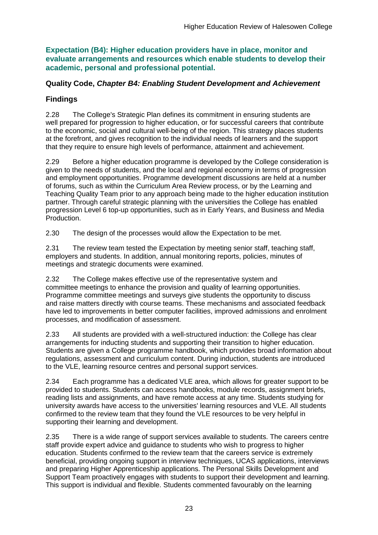**Expectation (B4): Higher education providers have in place, monitor and evaluate arrangements and resources which enable students to develop their academic, personal and professional potential.**

#### **Quality Code,** *Chapter B4: Enabling Student Development and Achievement*

### **Findings**

2.28 The College's Strategic Plan defines its commitment in ensuring students are well prepared for progression to higher education, or for successful careers that contribute to the economic, social and cultural well-being of the region. This strategy places students at the forefront, and gives recognition to the individual needs of learners and the support that they require to ensure high levels of performance, attainment and achievement.

2.29 Before a higher education programme is developed by the College consideration is given to the needs of students, and the local and regional economy in terms of progression and employment opportunities. Programme development discussions are held at a number of forums, such as within the Curriculum Area Review process, or by the Learning and Teaching Quality Team prior to any approach being made to the higher education institution partner. Through careful strategic planning with the universities the College has enabled progression Level 6 top-up opportunities, such as in Early Years, and Business and Media Production.

2.30 The design of the processes would allow the Expectation to be met.

2.31 The review team tested the Expectation by meeting senior staff, teaching staff, employers and students. In addition, annual monitoring reports, policies, minutes of meetings and strategic documents were examined.

2.32 The College makes effective use of the representative system and committee meetings to enhance the provision and quality of learning opportunities. Programme committee meetings and surveys give students the opportunity to discuss and raise matters directly with course teams. These mechanisms and associated feedback have led to improvements in better computer facilities, improved admissions and enrolment processes, and modification of assessment.

2.33 All students are provided with a well-structured induction: the College has clear arrangements for inducting students and supporting their transition to higher education. Students are given a College programme handbook, which provides broad information about regulations, assessment and curriculum content. During induction, students are introduced to the VLE, learning resource centres and personal support services.

2.34 Each programme has a dedicated VLE area, which allows for greater support to be provided to students. Students can access handbooks, module records, assignment briefs, reading lists and assignments, and have remote access at any time. Students studying for university awards have access to the universities' learning resources and VLE. All students confirmed to the review team that they found the VLE resources to be very helpful in supporting their learning and development.

2.35 There is a wide range of support services available to students. The careers centre staff provide expert advice and guidance to students who wish to progress to higher education. Students confirmed to the review team that the careers service is extremely beneficial, providing ongoing support in interview techniques, UCAS applications, interviews and preparing Higher Apprenticeship applications. The Personal Skills Development and Support Team proactively engages with students to support their development and learning. This support is individual and flexible. Students commented favourably on the learning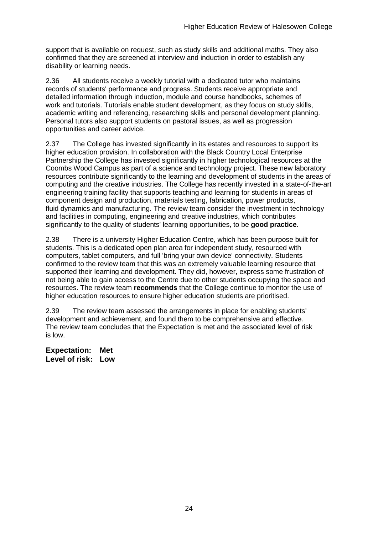support that is available on request, such as study skills and additional maths. They also confirmed that they are screened at interview and induction in order to establish any disability or learning needs.

2.36 All students receive a weekly tutorial with a dedicated tutor who maintains records of students' performance and progress. Students receive appropriate and detailed information through induction, module and course handbooks, schemes of work and tutorials. Tutorials enable student development, as they focus on study skills, academic writing and referencing, researching skills and personal development planning. Personal tutors also support students on pastoral issues, as well as progression opportunities and career advice.

2.37 The College has invested significantly in its estates and resources to support its higher education provision. In collaboration with the Black Country Local Enterprise Partnership the College has invested significantly in higher technological resources at the Coombs Wood Campus as part of a science and technology project. These new laboratory resources contribute significantly to the learning and development of students in the areas of computing and the creative industries. The College has recently invested in a state-of-the-art engineering training facility that supports teaching and learning for students in areas of component design and production, materials testing, fabrication, power products, fluid dynamics and manufacturing. The review team consider the investment in technology and facilities in computing, engineering and creative industries, which contributes significantly to the quality of students' learning opportunities, to be **good practice**.

2.38 There is a university Higher Education Centre, which has been purpose built for students. This is a dedicated open plan area for independent study, resourced with computers, tablet computers, and full 'bring your own device' connectivity. Students confirmed to the review team that this was an extremely valuable learning resource that supported their learning and development. They did, however, express some frustration of not being able to gain access to the Centre due to other students occupying the space and resources. The review team **recommends** that the College continue to monitor the use of higher education resources to ensure higher education students are prioritised.

2.39 The review team assessed the arrangements in place for enabling students' development and achievement, and found them to be comprehensive and effective. The review team concludes that the Expectation is met and the associated level of risk is low.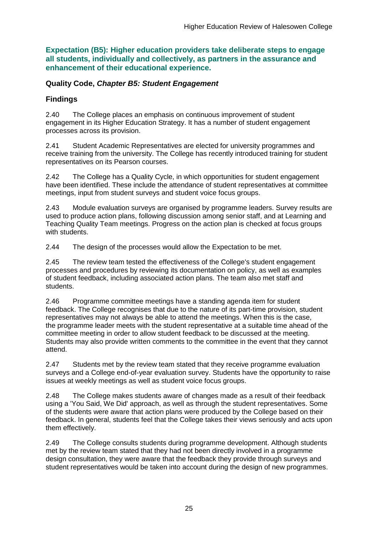**Expectation (B5): Higher education providers take deliberate steps to engage all students, individually and collectively, as partners in the assurance and enhancement of their educational experience.**

#### **Quality Code,** *Chapter B5: Student Engagement*

### **Findings**

2.40 The College places an emphasis on continuous improvement of student engagement in its Higher Education Strategy. It has a number of student engagement processes across its provision.

2.41 Student Academic Representatives are elected for university programmes and receive training from the university. The College has recently introduced training for student representatives on its Pearson courses.

2.42 The College has a Quality Cycle, in which opportunities for student engagement have been identified. These include the attendance of student representatives at committee meetings, input from student surveys and student voice focus groups.

2.43 Module evaluation surveys are organised by programme leaders. Survey results are used to produce action plans, following discussion among senior staff, and at Learning and Teaching Quality Team meetings. Progress on the action plan is checked at focus groups with students.

2.44 The design of the processes would allow the Expectation to be met.

2.45 The review team tested the effectiveness of the College's student engagement processes and procedures by reviewing its documentation on policy, as well as examples of student feedback, including associated action plans. The team also met staff and students.

2.46 Programme committee meetings have a standing agenda item for student feedback. The College recognises that due to the nature of its part-time provision, student representatives may not always be able to attend the meetings. When this is the case, the programme leader meets with the student representative at a suitable time ahead of the committee meeting in order to allow student feedback to be discussed at the meeting. Students may also provide written comments to the committee in the event that they cannot attend.

2.47 Students met by the review team stated that they receive programme evaluation surveys and a College end-of-year evaluation survey. Students have the opportunity to raise issues at weekly meetings as well as student voice focus groups.

2.48 The College makes students aware of changes made as a result of their feedback using a 'You Said, We Did' approach, as well as through the student representatives. Some of the students were aware that action plans were produced by the College based on their feedback. In general, students feel that the College takes their views seriously and acts upon them effectively.

2.49 The College consults students during programme development. Although students met by the review team stated that they had not been directly involved in a programme design consultation, they were aware that the feedback they provide through surveys and student representatives would be taken into account during the design of new programmes.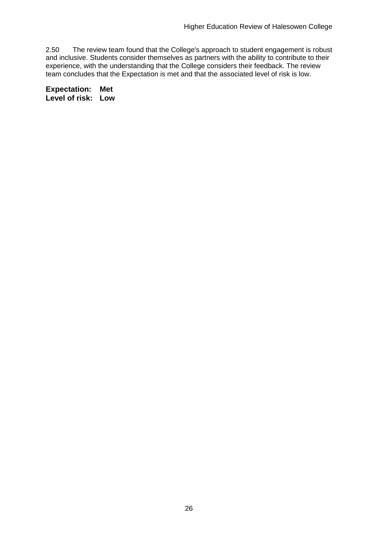2.50 The review team found that the College's approach to student engagement is robust and inclusive. Students consider themselves as partners with the ability to contribute to their experience, with the understanding that the College considers their feedback. The review team concludes that the Expectation is met and that the associated level of risk is low.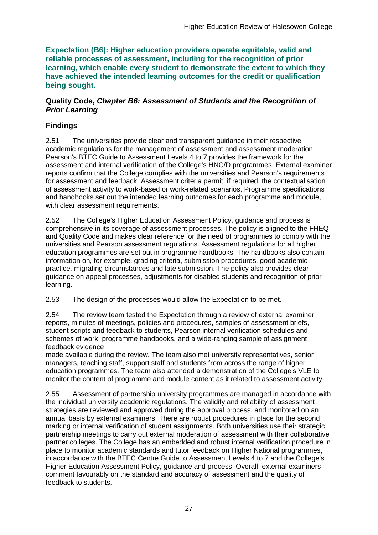**Expectation (B6): Higher education providers operate equitable, valid and reliable processes of assessment, including for the recognition of prior learning, which enable every student to demonstrate the extent to which they have achieved the intended learning outcomes for the credit or qualification being sought.**

#### **Quality Code,** *Chapter B6: Assessment of Students and the Recognition of Prior Learning*

## **Findings**

2.51 The universities provide clear and transparent guidance in their respective academic regulations for the management of assessment and assessment moderation. Pearson's BTEC Guide to Assessment Levels 4 to 7 provides the framework for the assessment and internal verification of the College's HNC/D programmes. External examiner reports confirm that the College complies with the universities and Pearson's requirements for assessment and feedback. Assessment criteria permit, if required, the contextualisation of assessment activity to work-based or work-related scenarios. Programme specifications and handbooks set out the intended learning outcomes for each programme and module, with clear assessment requirements.

2.52 The College's Higher Education Assessment Policy, guidance and process is comprehensive in its coverage of assessment processes. The policy is aligned to the FHEQ and Quality Code and makes clear reference for the need of programmes to comply with the universities and Pearson assessment regulations. Assessment regulations for all higher education programmes are set out in programme handbooks. The handbooks also contain information on, for example, grading criteria, submission procedures, good academic practice, migrating circumstances and late submission. The policy also provides clear guidance on appeal processes, adjustments for disabled students and recognition of prior learning.

2.53 The design of the processes would allow the Expectation to be met.

2.54 The review team tested the Expectation through a review of external examiner reports, minutes of meetings, policies and procedures, samples of assessment briefs, student scripts and feedback to students, Pearson internal verification schedules and schemes of work, programme handbooks, and a wide-ranging sample of assignment feedback evidence

made available during the review. The team also met university representatives, senior managers, teaching staff, support staff and students from across the range of higher education programmes. The team also attended a demonstration of the College's VLE to monitor the content of programme and module content as it related to assessment activity.

2.55 Assessment of partnership university programmes are managed in accordance with the individual university academic regulations. The validity and reliability of assessment strategies are reviewed and approved during the approval process, and monitored on an annual basis by external examiners. There are robust procedures in place for the second marking or internal verification of student assignments. Both universities use their strategic partnership meetings to carry out external moderation of assessment with their collaborative partner colleges. The College has an embedded and robust internal verification procedure in place to monitor academic standards and tutor feedback on Higher National programmes, in accordance with the BTEC Centre Guide to Assessment Levels 4 to 7 and the College's Higher Education Assessment Policy, guidance and process. Overall, external examiners comment favourably on the standard and accuracy of assessment and the quality of feedback to students.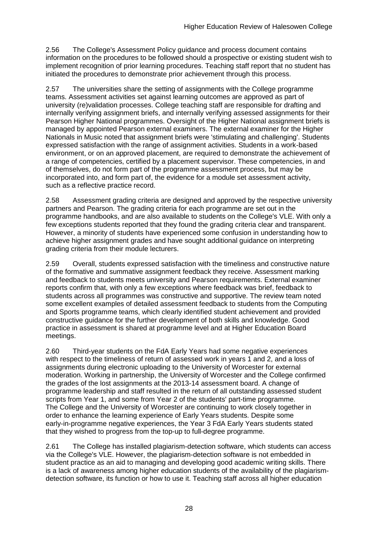2.56 The College's Assessment Policy guidance and process document contains information on the procedures to be followed should a prospective or existing student wish to implement recognition of prior learning procedures. Teaching staff report that no student has initiated the procedures to demonstrate prior achievement through this process.

2.57 The universities share the setting of assignments with the College programme teams. Assessment activities set against learning outcomes are approved as part of university (re)validation processes. College teaching staff are responsible for drafting and internally verifying assignment briefs, and internally verifying assessed assignments for their Pearson Higher National programmes. Oversight of the Higher National assignment briefs is managed by appointed Pearson external examiners. The external examiner for the Higher Nationals in Music noted that assignment briefs were 'stimulating and challenging'. Students expressed satisfaction with the range of assignment activities. Students in a work-based environment, or on an approved placement, are required to demonstrate the achievement of a range of competencies, certified by a placement supervisor. These competencies, in and of themselves, do not form part of the programme assessment process, but may be incorporated into, and form part of, the evidence for a module set assessment activity, such as a reflective practice record.

2.58 Assessment grading criteria are designed and approved by the respective university partners and Pearson. The grading criteria for each programme are set out in the programme handbooks, and are also available to students on the College's VLE. With only a few exceptions students reported that they found the grading criteria clear and transparent. However, a minority of students have experienced some confusion in understanding how to achieve higher assignment grades and have sought additional guidance on interpreting grading criteria from their module lecturers.

2.59 Overall, students expressed satisfaction with the timeliness and constructive nature of the formative and summative assignment feedback they receive. Assessment marking and feedback to students meets university and Pearson requirements. External examiner reports confirm that, with only a few exceptions where feedback was brief, feedback to students across all programmes was constructive and supportive. The review team noted some excellent examples of detailed assessment feedback to students from the Computing and Sports programme teams, which clearly identified student achievement and provided constructive guidance for the further development of both skills and knowledge. Good practice in assessment is shared at programme level and at Higher Education Board meetings.

2.60 Third-year students on the FdA Early Years had some negative experiences with respect to the timeliness of return of assessed work in years 1 and 2, and a loss of assignments during electronic uploading to the University of Worcester for external moderation. Working in partnership, the University of Worcester and the College confirmed the grades of the lost assignments at the 2013-14 assessment board. A change of programme leadership and staff resulted in the return of all outstanding assessed student scripts from Year 1, and some from Year 2 of the students' part-time programme. The College and the University of Worcester are continuing to work closely together in order to enhance the learning experience of Early Years students. Despite some early-in-programme negative experiences, the Year 3 FdA Early Years students stated that they wished to progress from the top-up to full-degree programme.

2.61 The College has installed plagiarism-detection software, which students can access via the College's VLE. However, the plagiarism-detection software is not embedded in student practice as an aid to managing and developing good academic writing skills. There is a lack of awareness among higher education students of the availability of the plagiarismdetection software, its function or how to use it. Teaching staff across all higher education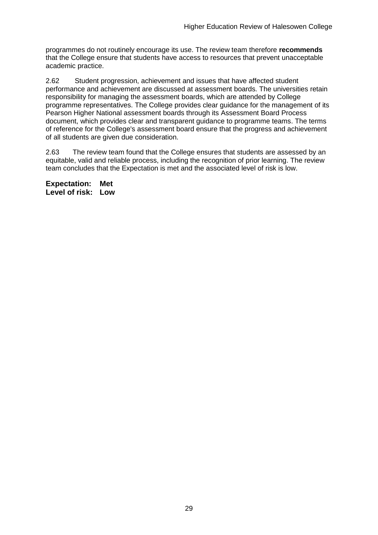programmes do not routinely encourage its use. The review team therefore **recommends** that the College ensure that students have access to resources that prevent unacceptable academic practice.

2.62 Student progression, achievement and issues that have affected student performance and achievement are discussed at assessment boards. The universities retain responsibility for managing the assessment boards, which are attended by College programme representatives. The College provides clear guidance for the management of its Pearson Higher National assessment boards through its Assessment Board Process document, which provides clear and transparent guidance to programme teams. The terms of reference for the College's assessment board ensure that the progress and achievement of all students are given due consideration.

2.63 The review team found that the College ensures that students are assessed by an equitable, valid and reliable process, including the recognition of prior learning. The review team concludes that the Expectation is met and the associated level of risk is low.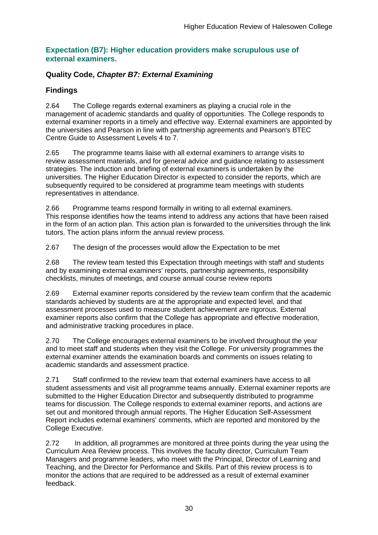#### **Expectation (B7): Higher education providers make scrupulous use of external examiners.**

### **Quality Code,** *Chapter B7: External Examining*

## **Findings**

2.64 The College regards external examiners as playing a crucial role in the management of academic standards and quality of opportunities. The College responds to external examiner reports in a timely and effective way. External examiners are appointed by the universities and Pearson in line with partnership agreements and Pearson's BTEC Centre Guide to Assessment Levels 4 to 7.

2.65 The programme teams liaise with all external examiners to arrange visits to review assessment materials, and for general advice and guidance relating to assessment strategies. The induction and briefing of external examiners is undertaken by the universities. The Higher Education Director is expected to consider the reports, which are subsequently required to be considered at programme team meetings with students representatives in attendance.

2.66 Programme teams respond formally in writing to all external examiners. This response identifies how the teams intend to address any actions that have been raised in the form of an action plan. This action plan is forwarded to the universities through the link tutors. The action plans inform the annual review process.

2.67 The design of the processes would allow the Expectation to be met

2.68 The review team tested this Expectation through meetings with staff and students and by examining external examiners' reports, partnership agreements, responsibility checklists, minutes of meetings, and course annual course review reports

2.69 External examiner reports considered by the review team confirm that the academic standards achieved by students are at the appropriate and expected level, and that assessment processes used to measure student achievement are rigorous. External examiner reports also confirm that the College has appropriate and effective moderation, and administrative tracking procedures in place.

2.70 The College encourages external examiners to be involved throughout the year and to meet staff and students when they visit the College. For university programmes the external examiner attends the examination boards and comments on issues relating to academic standards and assessment practice.

2.71 Staff confirmed to the review team that external examiners have access to all student assessments and visit all programme teams annually. External examiner reports are submitted to the Higher Education Director and subsequently distributed to programme teams for discussion. The College responds to external examiner reports, and actions are set out and monitored through annual reports. The Higher Education Self-Assessment Report includes external examiners' comments, which are reported and monitored by the College Executive.

2.72 In addition, all programmes are monitored at three points during the year using the Curriculum Area Review process. This involves the faculty director, Curriculum Team Managers and programme leaders, who meet with the Principal, Director of Learning and Teaching, and the Director for Performance and Skills. Part of this review process is to monitor the actions that are required to be addressed as a result of external examiner feedback.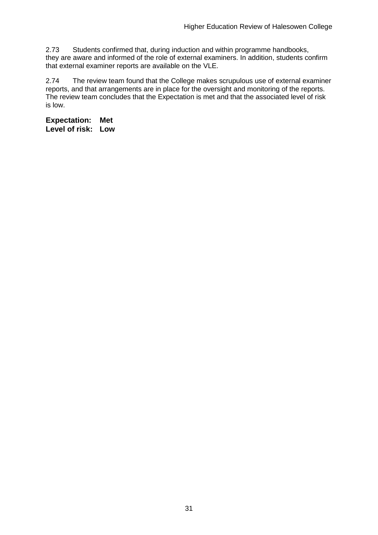2.73 Students confirmed that, during induction and within programme handbooks, they are aware and informed of the role of external examiners. In addition, students confirm that external examiner reports are available on the VLE.

2.74 The review team found that the College makes scrupulous use of external examiner reports, and that arrangements are in place for the oversight and monitoring of the reports. The review team concludes that the Expectation is met and that the associated level of risk is low.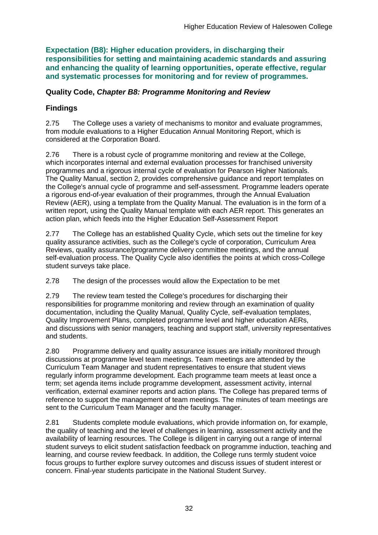**Expectation (B8): Higher education providers, in discharging their responsibilities for setting and maintaining academic standards and assuring and enhancing the quality of learning opportunities, operate effective, regular and systematic processes for monitoring and for review of programmes.**

#### **Quality Code,** *Chapter B8: Programme Monitoring and Review*

### **Findings**

2.75 The College uses a variety of mechanisms to monitor and evaluate programmes, from module evaluations to a Higher Education Annual Monitoring Report, which is considered at the Corporation Board.

2.76 There is a robust cycle of programme monitoring and review at the College, which incorporates internal and external evaluation processes for franchised university programmes and a rigorous internal cycle of evaluation for Pearson Higher Nationals. The Quality Manual, section 2, provides comprehensive guidance and report templates on the College's annual cycle of programme and self-assessment. Programme leaders operate a rigorous end-of-year evaluation of their programmes, through the Annual Evaluation Review (AER), using a template from the Quality Manual. The evaluation is in the form of a written report, using the Quality Manual template with each AER report. This generates an action plan, which feeds into the Higher Education Self-Assessment Report

2.77 The College has an established Quality Cycle, which sets out the timeline for key quality assurance activities, such as the College's cycle of corporation, Curriculum Area Reviews, quality assurance/programme delivery committee meetings, and the annual self-evaluation process. The Quality Cycle also identifies the points at which cross-College student surveys take place.

2.78 The design of the processes would allow the Expectation to be met

2.79 The review team tested the College's procedures for discharging their responsibilities for programme monitoring and review through an examination of quality documentation, including the Quality Manual, Quality Cycle, self-evaluation templates, Quality Improvement Plans, completed programme level and higher education AERs, and discussions with senior managers, teaching and support staff, university representatives and students.

2.80 Programme delivery and quality assurance issues are initially monitored through discussions at programme level team meetings. Team meetings are attended by the Curriculum Team Manager and student representatives to ensure that student views regularly inform programme development. Each programme team meets at least once a term; set agenda items include programme development, assessment activity, internal verification, external examiner reports and action plans. The College has prepared terms of reference to support the management of team meetings. The minutes of team meetings are sent to the Curriculum Team Manager and the faculty manager.

2.81 Students complete module evaluations, which provide information on, for example, the quality of teaching and the level of challenges in learning, assessment activity and the availability of learning resources. The College is diligent in carrying out a range of internal student surveys to elicit student satisfaction feedback on programme induction, teaching and learning, and course review feedback. In addition, the College runs termly student voice focus groups to further explore survey outcomes and discuss issues of student interest or concern. Final-year students participate in the National Student Survey.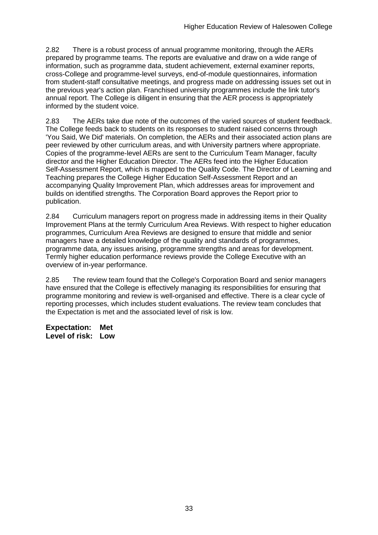2.82 There is a robust process of annual programme monitoring, through the AERs prepared by programme teams. The reports are evaluative and draw on a wide range of information, such as programme data, student achievement, external examiner reports, cross-College and programme-level surveys, end-of-module questionnaires, information from student-staff consultative meetings, and progress made on addressing issues set out in the previous year's action plan. Franchised university programmes include the link tutor's annual report. The College is diligent in ensuring that the AER process is appropriately informed by the student voice.

2.83 The AERs take due note of the outcomes of the varied sources of student feedback. The College feeds back to students on its responses to student raised concerns through 'You Said, We Did' materials. On completion, the AERs and their associated action plans are peer reviewed by other curriculum areas, and with University partners where appropriate. Copies of the programme-level AERs are sent to the Curriculum Team Manager, faculty director and the Higher Education Director. The AERs feed into the Higher Education Self-Assessment Report, which is mapped to the Quality Code. The Director of Learning and Teaching prepares the College Higher Education Self-Assessment Report and an accompanying Quality Improvement Plan, which addresses areas for improvement and builds on identified strengths. The Corporation Board approves the Report prior to publication.

2.84 Curriculum managers report on progress made in addressing items in their Quality Improvement Plans at the termly Curriculum Area Reviews. With respect to higher education programmes, Curriculum Area Reviews are designed to ensure that middle and senior managers have a detailed knowledge of the quality and standards of programmes, programme data, any issues arising, programme strengths and areas for development. Termly higher education performance reviews provide the College Executive with an overview of in-year performance.

2.85 The review team found that the College's Corporation Board and senior managers have ensured that the College is effectively managing its responsibilities for ensuring that programme monitoring and review is well-organised and effective. There is a clear cycle of reporting processes, which includes student evaluations. The review team concludes that the Expectation is met and the associated level of risk is low.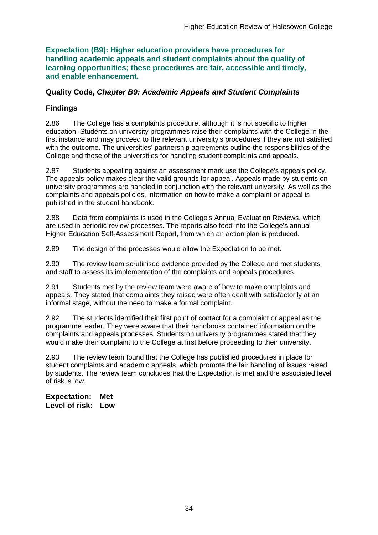**Expectation (B9): Higher education providers have procedures for handling academic appeals and student complaints about the quality of learning opportunities; these procedures are fair, accessible and timely, and enable enhancement.** 

#### **Quality Code,** *Chapter B9: Academic Appeals and Student Complaints*

### **Findings**

2.86 The College has a complaints procedure, although it is not specific to higher education. Students on university programmes raise their complaints with the College in the first instance and may proceed to the relevant university's procedures if they are not satisfied with the outcome. The universities' partnership agreements outline the responsibilities of the College and those of the universities for handling student complaints and appeals.

2.87 Students appealing against an assessment mark use the College's appeals policy. The appeals policy makes clear the valid grounds for appeal. Appeals made by students on university programmes are handled in conjunction with the relevant university. As well as the complaints and appeals policies, information on how to make a complaint or appeal is published in the student handbook.

2.88 Data from complaints is used in the College's Annual Evaluation Reviews, which are used in periodic review processes. The reports also feed into the College's annual Higher Education Self-Assessment Report, from which an action plan is produced.

2.89 The design of the processes would allow the Expectation to be met.

2.90 The review team scrutinised evidence provided by the College and met students and staff to assess its implementation of the complaints and appeals procedures.

2.91 Students met by the review team were aware of how to make complaints and appeals. They stated that complaints they raised were often dealt with satisfactorily at an informal stage, without the need to make a formal complaint.

2.92 The students identified their first point of contact for a complaint or appeal as the programme leader. They were aware that their handbooks contained information on the complaints and appeals processes. Students on university programmes stated that they would make their complaint to the College at first before proceeding to their university.

2.93 The review team found that the College has published procedures in place for student complaints and academic appeals, which promote the fair handling of issues raised by students. The review team concludes that the Expectation is met and the associated level of risk is low.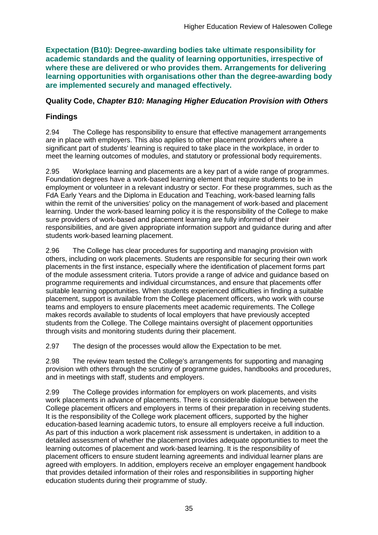**Expectation (B10): Degree-awarding bodies take ultimate responsibility for academic standards and the quality of learning opportunities, irrespective of where these are delivered or who provides them. Arrangements for delivering learning opportunities with organisations other than the degree-awarding body are implemented securely and managed effectively.**

### **Quality Code,** *Chapter B10: Managing Higher Education Provision with Others*

## **Findings**

2.94 The College has responsibility to ensure that effective management arrangements are in place with employers. This also applies to other placement providers where a significant part of students' learning is required to take place in the workplace, in order to meet the learning outcomes of modules, and statutory or professional body requirements.

2.95 Workplace learning and placements are a key part of a wide range of programmes. Foundation degrees have a work-based learning element that require students to be in employment or volunteer in a relevant industry or sector. For these programmes, such as the FdA Early Years and the Diploma in Education and Teaching, work-based learning falls within the remit of the universities' policy on the management of work-based and placement learning. Under the work-based learning policy it is the responsibility of the College to make sure providers of work-based and placement learning are fully informed of their responsibilities, and are given appropriate information support and guidance during and after students work-based learning placement.

2.96 The College has clear procedures for supporting and managing provision with others, including on work placements. Students are responsible for securing their own work placements in the first instance, especially where the identification of placement forms part of the module assessment criteria. Tutors provide a range of advice and guidance based on programme requirements and individual circumstances, and ensure that placements offer suitable learning opportunities. When students experienced difficulties in finding a suitable placement, support is available from the College placement officers, who work with course teams and employers to ensure placements meet academic requirements. The College makes records available to students of local employers that have previously accepted students from the College. The College maintains oversight of placement opportunities through visits and monitoring students during their placement.

2.97 The design of the processes would allow the Expectation to be met.

2.98 The review team tested the College's arrangements for supporting and managing provision with others through the scrutiny of programme guides, handbooks and procedures, and in meetings with staff, students and employers.

2.99 The College provides information for employers on work placements, and visits work placements in advance of placements. There is considerable dialogue between the College placement officers and employers in terms of their preparation in receiving students. It is the responsibility of the College work placement officers, supported by the higher education-based learning academic tutors, to ensure all employers receive a full induction. As part of this induction a work placement risk assessment is undertaken, in addition to a detailed assessment of whether the placement provides adequate opportunities to meet the learning outcomes of placement and work-based learning. It is the responsibility of placement officers to ensure student learning agreements and individual learner plans are agreed with employers. In addition, employers receive an employer engagement handbook that provides detailed information of their roles and responsibilities in supporting higher education students during their programme of study.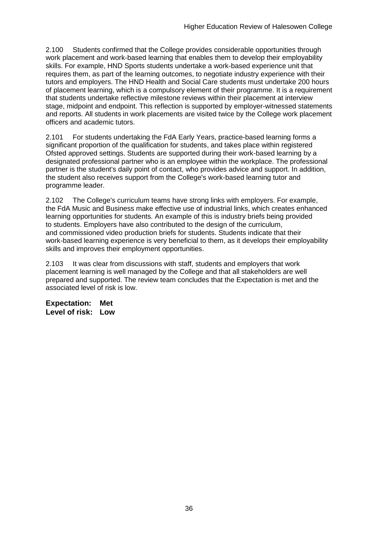2.100 Students confirmed that the College provides considerable opportunities through work placement and work-based learning that enables them to develop their employability skills. For example, HND Sports students undertake a work-based experience unit that requires them, as part of the learning outcomes, to negotiate industry experience with their tutors and employers. The HND Health and Social Care students must undertake 200 hours of placement learning, which is a compulsory element of their programme. It is a requirement that students undertake reflective milestone reviews within their placement at interview stage, midpoint and endpoint. This reflection is supported by employer-witnessed statements and reports. All students in work placements are visited twice by the College work placement officers and academic tutors.

2.101 For students undertaking the FdA Early Years, practice-based learning forms a significant proportion of the qualification for students, and takes place within registered Ofsted approved settings. Students are supported during their work-based learning by a designated professional partner who is an employee within the workplace. The professional partner is the student's daily point of contact, who provides advice and support. In addition, the student also receives support from the College's work-based learning tutor and programme leader.

2.102 The College's curriculum teams have strong links with employers. For example, the FdA Music and Business make effective use of industrial links, which creates enhanced learning opportunities for students. An example of this is industry briefs being provided to students. Employers have also contributed to the design of the curriculum, and commissioned video production briefs for students. Students indicate that their work-based learning experience is very beneficial to them, as it develops their employability skills and improves their employment opportunities.

2.103 It was clear from discussions with staff, students and employers that work placement learning is well managed by the College and that all stakeholders are well prepared and supported. The review team concludes that the Expectation is met and the associated level of risk is low.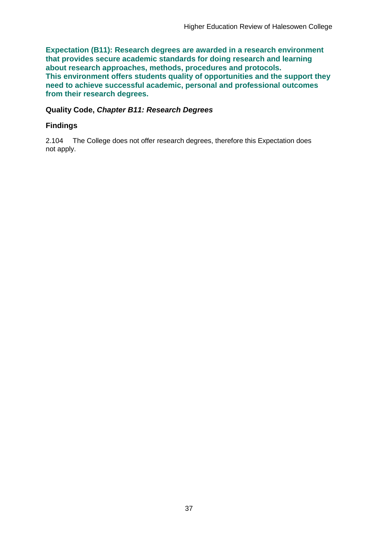**Expectation (B11): Research degrees are awarded in a research environment that provides secure academic standards for doing research and learning about research approaches, methods, procedures and protocols. This environment offers students quality of opportunities and the support they need to achieve successful academic, personal and professional outcomes from their research degrees.**

#### **Quality Code,** *Chapter B11: Research Degrees*

### **Findings**

2.104 The College does not offer research degrees, therefore this Expectation does not apply.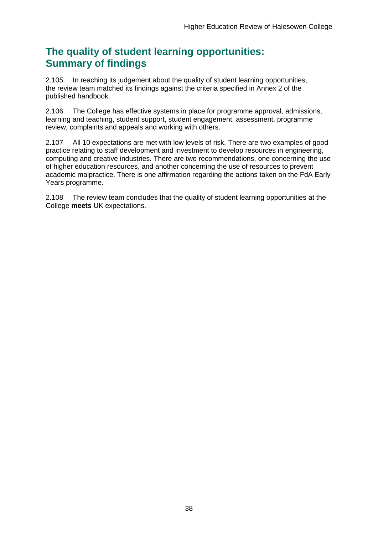## **The quality of student learning opportunities: Summary of findings**

2.105 In reaching its judgement about the quality of student learning opportunities, the review team matched its findings against the criteria specified in Annex 2 of the published handbook.

2.106 The College has effective systems in place for programme approval, admissions, learning and teaching, student support, student engagement, assessment, programme review, complaints and appeals and working with others.

2.107 All 10 expectations are met with low levels of risk. There are two examples of good practice relating to staff development and investment to develop resources in engineering, computing and creative industries. There are two recommendations, one concerning the use of higher education resources, and another concerning the use of resources to prevent academic malpractice. There is one affirmation regarding the actions taken on the FdA Early Years programme.

2.108 The review team concludes that the quality of student learning opportunities at the College **meets** UK expectations.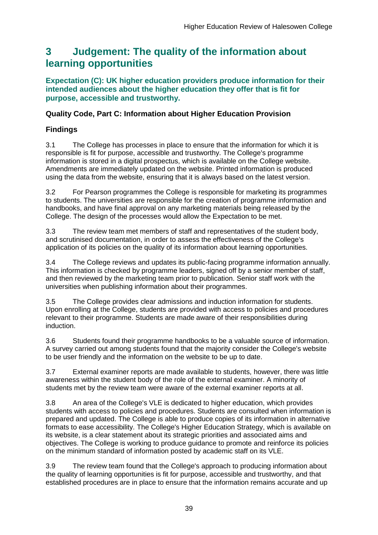## <span id="page-39-0"></span>**3 Judgement: The quality of the information about learning opportunities**

**Expectation (C): UK higher education providers produce information for their intended audiences about the higher education they offer that is fit for purpose, accessible and trustworthy.**

### **Quality Code, Part C: Information about Higher Education Provision**

## **Findings**

3.1 The College has processes in place to ensure that the information for which it is responsible is fit for purpose, accessible and trustworthy. The College's programme information is stored in a digital prospectus, which is available on the College website. Amendments are immediately updated on the website. Printed information is produced using the data from the website, ensuring that it is always based on the latest version.

3.2 For Pearson programmes the College is responsible for marketing its programmes to students. The universities are responsible for the creation of programme information and handbooks, and have final approval on any marketing materials being released by the College. The design of the processes would allow the Expectation to be met.

3.3 The review team met members of staff and representatives of the student body, and scrutinised documentation, in order to assess the effectiveness of the College's application of its policies on the quality of its information about learning opportunities.

3.4 The College reviews and updates its public-facing programme information annually. This information is checked by programme leaders, signed off by a senior member of staff, and then reviewed by the marketing team prior to publication. Senior staff work with the universities when publishing information about their programmes.

3.5 The College provides clear admissions and induction information for students. Upon enrolling at the College, students are provided with access to policies and procedures relevant to their programme. Students are made aware of their responsibilities during induction.

3.6 Students found their programme handbooks to be a valuable source of information. A survey carried out among students found that the majority consider the College's website to be user friendly and the information on the website to be up to date.

3.7 External examiner reports are made available to students, however, there was little awareness within the student body of the role of the external examiner. A minority of students met by the review team were aware of the external examiner reports at all.

3.8 An area of the College's VLE is dedicated to higher education, which provides students with access to policies and procedures. Students are consulted when information is prepared and updated. The College is able to produce copies of its information in alternative formats to ease accessibility. The College's Higher Education Strategy, which is available on its website, is a clear statement about its strategic priorities and associated aims and objectives. The College is working to produce guidance to promote and reinforce its policies on the minimum standard of information posted by academic staff on its VLE.

3.9 The review team found that the College's approach to producing information about the quality of learning opportunities is fit for purpose, accessible and trustworthy, and that established procedures are in place to ensure that the information remains accurate and up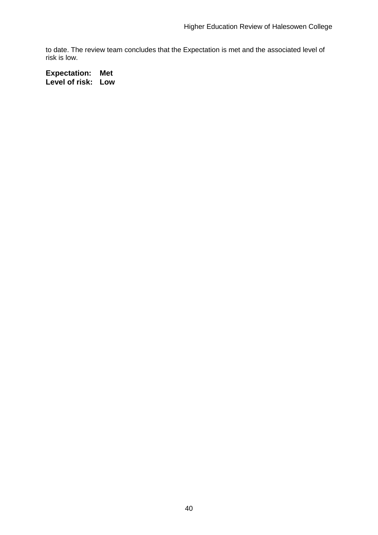to date. The review team concludes that the Expectation is met and the associated level of risk is low.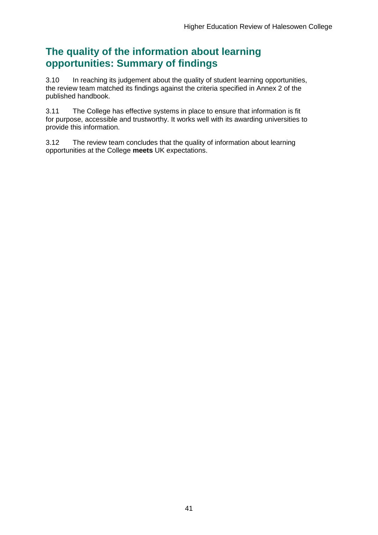## **The quality of the information about learning opportunities: Summary of findings**

3.10 In reaching its judgement about the quality of student learning opportunities, the review team matched its findings against the criteria specified in Annex 2 of the published handbook.

3.11 The College has effective systems in place to ensure that information is fit for purpose, accessible and trustworthy. It works well with its awarding universities to provide this information.

3.12 The review team concludes that the quality of information about learning opportunities at the College **meets** UK expectations.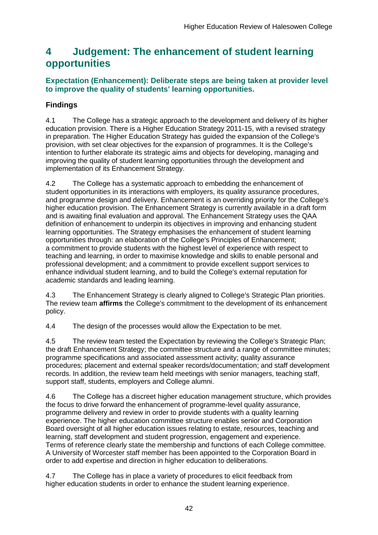## <span id="page-42-0"></span>**4 Judgement: The enhancement of student learning opportunities**

### **Expectation (Enhancement): Deliberate steps are being taken at provider level to improve the quality of students' learning opportunities.**

## **Findings**

4.1 The College has a strategic approach to the development and delivery of its higher education provision. There is a Higher Education Strategy 2011-15, with a revised strategy in preparation. The Higher Education Strategy has guided the expansion of the College's provision, with set clear objectives for the expansion of programmes. It is the College's intention to further elaborate its strategic aims and objects for developing, managing and improving the quality of student learning opportunities through the development and implementation of its Enhancement Strategy.

4.2 The College has a systematic approach to embedding the enhancement of student opportunities in its interactions with employers, its quality assurance procedures, and programme design and delivery. Enhancement is an overriding priority for the College's higher education provision. The Enhancement Strategy is currently available in a draft form and is awaiting final evaluation and approval. The Enhancement Strategy uses the QAA definition of enhancement to underpin its objectives in improving and enhancing student learning opportunities. The Strategy emphasises the enhancement of student learning opportunities through: an elaboration of the College's Principles of Enhancement; a commitment to provide students with the highest level of experience with respect to teaching and learning, in order to maximise knowledge and skills to enable personal and professional development; and a commitment to provide excellent support services to enhance individual student learning, and to build the College's external reputation for academic standards and leading learning.

4.3 The Enhancement Strategy is clearly aligned to College's Strategic Plan priorities. The review team **affirms** the College's commitment to the development of its enhancement policy.

4.4 The design of the processes would allow the Expectation to be met.

4.5 The review team tested the Expectation by reviewing the College's Strategic Plan; the draft Enhancement Strategy; the committee structure and a range of committee minutes; programme specifications and associated assessment activity; quality assurance procedures; placement and external speaker records/documentation; and staff development records. In addition, the review team held meetings with senior managers, teaching staff, support staff, students, employers and College alumni.

4.6 The College has a discreet higher education management structure, which provides the focus to drive forward the enhancement of programme-level quality assurance, programme delivery and review in order to provide students with a quality learning experience. The higher education committee structure enables senior and Corporation Board oversight of all higher education issues relating to estate, resources, teaching and learning, staff development and student progression, engagement and experience. Terms of reference clearly state the membership and functions of each College committee. A University of Worcester staff member has been appointed to the Corporation Board in order to add expertise and direction in higher education to deliberations.

4.7 The College has in place a variety of procedures to elicit feedback from higher education students in order to enhance the student learning experience.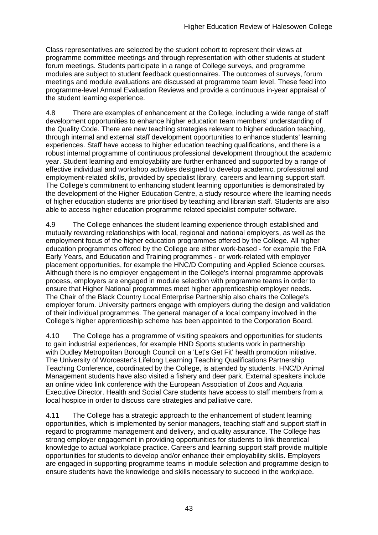Class representatives are selected by the student cohort to represent their views at programme committee meetings and through representation with other students at student forum meetings. Students participate in a range of College surveys, and programme modules are subject to student feedback questionnaires. The outcomes of surveys, forum meetings and module evaluations are discussed at programme team level. These feed into programme-level Annual Evaluation Reviews and provide a continuous in-year appraisal of the student learning experience.

4.8 There are examples of enhancement at the College, including a wide range of staff development opportunities to enhance higher education team members' understanding of the Quality Code. There are new teaching strategies relevant to higher education teaching, through internal and external staff development opportunities to enhance students' learning experiences. Staff have access to higher education teaching qualifications, and there is a robust internal programme of continuous professional development throughout the academic year. Student learning and employability are further enhanced and supported by a range of effective individual and workshop activities designed to develop academic, professional and employment-related skills, provided by specialist library, careers and learning support staff. The College's commitment to enhancing student learning opportunities is demonstrated by the development of the Higher Education Centre, a study resource where the learning needs of higher education students are prioritised by teaching and librarian staff. Students are also able to access higher education programme related specialist computer software.

4.9 The College enhances the student learning experience through established and mutually rewarding relationships with local, regional and national employers, as well as the employment focus of the higher education programmes offered by the College. All higher education programmes offered by the College are either work-based - for example the FdA Early Years, and Education and Training programmes - or work-related with employer placement opportunities, for example the HNC/D Computing and Applied Science courses. Although there is no employer engagement in the College's internal programme approvals process, employers are engaged in module selection with programme teams in order to ensure that Higher National programmes meet higher apprenticeship employer needs. The Chair of the Black Country Local Enterprise Partnership also chairs the College's employer forum. University partners engage with employers during the design and validation of their individual programmes. The general manager of a local company involved in the College's higher apprenticeship scheme has been appointed to the Corporation Board.

4.10 The College has a programme of visiting speakers and opportunities for students to gain industrial experiences, for example HND Sports students work in partnership with Dudley Metropolitan Borough Council on a 'Let's Get Fit' health promotion initiative. The University of Worcester's Lifelong Learning Teaching Qualifications Partnership Teaching Conference, coordinated by the College, is attended by students. HNC/D Animal Management students have also visited a fishery and deer park. External speakers include an online video link conference with the European Association of Zoos and Aquaria Executive Director. Health and Social Care students have access to staff members from a local hospice in order to discuss care strategies and palliative care.

4.11 The College has a strategic approach to the enhancement of student learning opportunities, which is implemented by senior managers, teaching staff and support staff in regard to programme management and delivery, and quality assurance. The College has strong employer engagement in providing opportunities for students to link theoretical knowledge to actual workplace practice. Careers and learning support staff provide multiple opportunities for students to develop and/or enhance their employability skills. Employers are engaged in supporting programme teams in module selection and programme design to ensure students have the knowledge and skills necessary to succeed in the workplace.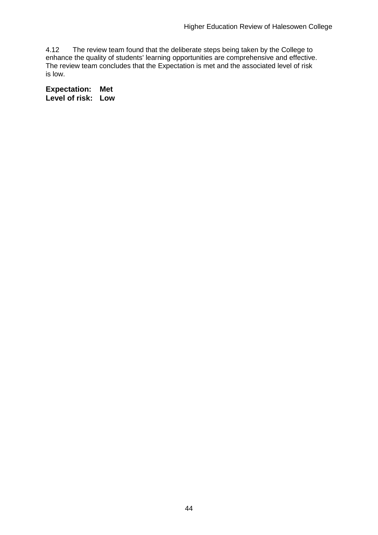4.12 The review team found that the deliberate steps being taken by the College to enhance the quality of students' learning opportunities are comprehensive and effective. The review team concludes that the Expectation is met and the associated level of risk is low.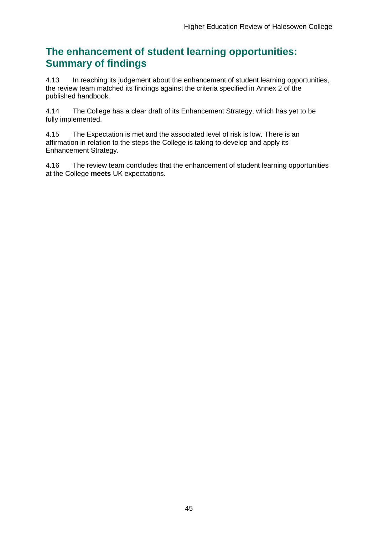## **The enhancement of student learning opportunities: Summary of findings**

4.13 In reaching its judgement about the enhancement of student learning opportunities, the review team matched its findings against the criteria specified in Annex 2 of the published handbook.

4.14 The College has a clear draft of its Enhancement Strategy, which has yet to be fully implemented.

4.15 The Expectation is met and the associated level of risk is low. There is an affirmation in relation to the steps the College is taking to develop and apply its Enhancement Strategy.

4.16 The review team concludes that the enhancement of student learning opportunities at the College **meets** UK expectations.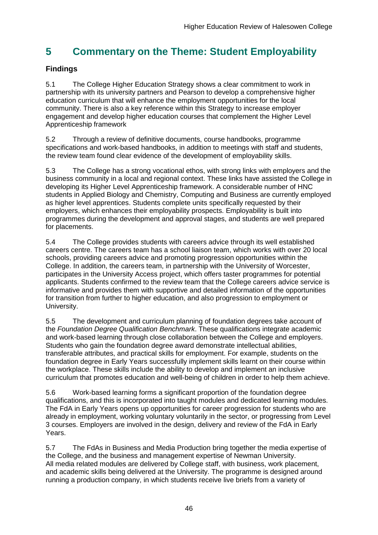## <span id="page-46-0"></span>**5 Commentary on the Theme: Student Employability**

## **Findings**

5.1 The College Higher Education Strategy shows a clear commitment to work in partnership with its university partners and Pearson to develop a comprehensive higher education curriculum that will enhance the employment opportunities for the local community. There is also a key reference within this Strategy to increase employer engagement and develop higher education courses that complement the Higher Level Apprenticeship framework

5.2 Through a review of definitive documents, course handbooks, programme specifications and work-based handbooks, in addition to meetings with staff and students, the review team found clear evidence of the development of employability skills.

5.3 The College has a strong vocational ethos, with strong links with employers and the business community in a local and regional context. These links have assisted the College in developing its Higher Level Apprenticeship framework. A considerable number of HNC students in Applied Biology and Chemistry, Computing and Business are currently employed as higher level apprentices. Students complete units specifically requested by their employers, which enhances their employability prospects. Employability is built into programmes during the development and approval stages, and students are well prepared for placements.

5.4 The College provides students with careers advice through its well established careers centre. The careers team has a school liaison team, which works with over 20 local schools, providing careers advice and promoting progression opportunities within the College. In addition, the careers team, in partnership with the University of Worcester, participates in the University Access project, which offers taster programmes for potential applicants. Students confirmed to the review team that the College careers advice service is informative and provides them with supportive and detailed information of the opportunities for transition from further to higher education, and also progression to employment or University.

5.5 The development and curriculum planning of foundation degrees take account of the *Foundation Degree Qualification Benchmark*. These qualifications integrate academic and work-based learning through close collaboration between the College and employers. Students who gain the foundation degree award demonstrate intellectual abilities, transferable attributes, and practical skills for employment. For example, students on the foundation degree in Early Years successfully implement skills learnt on their course within the workplace. These skills include the ability to develop and implement an inclusive curriculum that promotes education and well-being of children in order to help them achieve.

5.6 Work-based learning forms a significant proportion of the foundation degree qualifications, and this is incorporated into taught modules and dedicated learning modules. The FdA in Early Years opens up opportunities for career progression for students who are already in employment, working voluntary voluntarily in the sector, or progressing from Level 3 courses. Employers are involved in the design, delivery and review of the FdA in Early Years.

5.7 The FdAs in Business and Media Production bring together the media expertise of the College, and the business and management expertise of Newman University. All media related modules are delivered by College staff, with business, work placement, and academic skills being delivered at the University. The programme is designed around running a production company, in which students receive live briefs from a variety of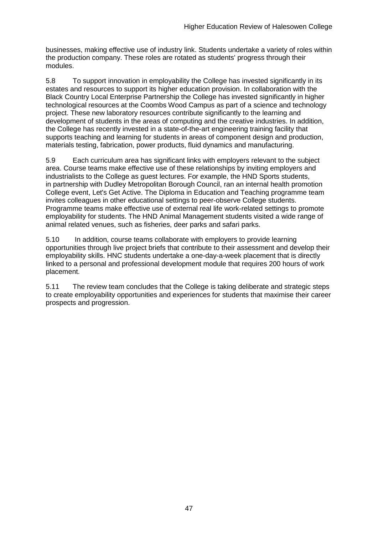businesses, making effective use of industry link. Students undertake a variety of roles within the production company. These roles are rotated as students' progress through their modules.

5.8 To support innovation in employability the College has invested significantly in its estates and resources to support its higher education provision. In collaboration with the Black Country Local Enterprise Partnership the College has invested significantly in higher technological resources at the Coombs Wood Campus as part of a science and technology project. These new laboratory resources contribute significantly to the learning and development of students in the areas of computing and the creative industries. In addition, the College has recently invested in a state-of-the-art engineering training facility that supports teaching and learning for students in areas of component design and production, materials testing, fabrication, power products, fluid dynamics and manufacturing.

5.9 Each curriculum area has significant links with employers relevant to the subject area. Course teams make effective use of these relationships by inviting employers and industrialists to the College as guest lectures. For example, the HND Sports students, in partnership with Dudley Metropolitan Borough Council, ran an internal health promotion College event, Let's Get Active. The Diploma in Education and Teaching programme team invites colleagues in other educational settings to peer-observe College students. Programme teams make effective use of external real life work-related settings to promote employability for students. The HND Animal Management students visited a wide range of animal related venues, such as fisheries, deer parks and safari parks.

5.10 In addition, course teams collaborate with employers to provide learning opportunities through live project briefs that contribute to their assessment and develop their employability skills. HNC students undertake a one-day-a-week placement that is directly linked to a personal and professional development module that requires 200 hours of work placement.

<span id="page-47-0"></span>5.11 The review team concludes that the College is taking deliberate and strategic steps to create employability opportunities and experiences for students that maximise their career prospects and progression.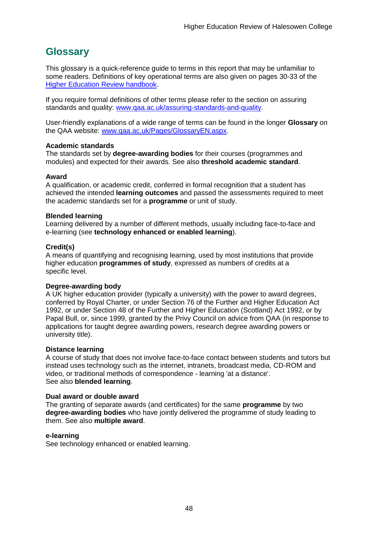## <span id="page-48-0"></span>**Glossary**

This glossary is a quick-reference guide to terms in this report that may be unfamiliar to some readers. Definitions of key operational terms are also given on pages 30-33 of the [Higher Education Review handbook.](http://www.qaa.ac.uk/publications/information-and-guidance/publication?PubID=2672)

If you require formal definitions of other terms please refer to the section on assuring standards and quality: [www.qaa.ac.uk/assuring-standards-and-quality.](http://www.qaa.ac.uk/assuring-standards-and-quality)

User-friendly explanations of a wide range of terms can be found in the longer **Glossary** on the QAA website: [www.qaa.ac.uk/Pages/GlossaryEN.aspx.](http://www.qaa.ac.uk/Pages/GlossaryEN.aspx)

#### **Academic standards**

The standards set by **degree-awarding bodies** for their courses (programmes and modules) and expected for their awards. See also **threshold academic standard**.

#### **Award**

A qualification, or academic credit, conferred in formal recognition that a student has achieved the intended **learning outcomes** and passed the assessments required to meet the academic standards set for a **programme** or unit of study.

#### **Blended learning**

Learning delivered by a number of different methods, usually including face-to-face and e-learning (see **[technology enhanced or enabled learning](http://www.qaa.ac.uk/AboutUs/glossary/Pages/glossary-t.aspx#t1)**).

#### **Credit(s)**

A means of quantifying and recognising learning, used by most institutions that provide higher education **programmes of study**, expressed as numbers of credits at a specific level.

#### **Degree-awarding body**

A UK [higher education provider](http://newlive.qaa.ac.uk/AboutUs/glossary/Pages/glossary-h.aspx#h2.1) (typically a [university\)](http://newlive.qaa.ac.uk/AboutUs/glossary/Pages/glossary-u-z.aspx#u4) with the power to award degrees, conferred by Royal Charter, or under Section 76 of the Further and Higher Education Act 1992, or under Section 48 of the Further and Higher Education (Scotland) Act 1992, or by Papal Bull, or, since 1999, granted by the Privy Council on advice from QAA (in response to applications for [taught degree awarding powers, research degree awarding powers or](http://newlive.qaa.ac.uk/AboutUs/DAP/Pages/default.aspx)  [university title\)](http://newlive.qaa.ac.uk/AboutUs/DAP/Pages/default.aspx).

#### **Distance learning**

A course of study that does not involve face-to-face contact between students and tutors but instead uses technology such as the internet, intranets, broadcast media, CD-ROM and video, or traditional methods of correspondence - learning 'at a distance'. See also **blended learning**.

#### **Dual award or double award**

The granting of separate awards (and certificates) for the same **programme** by two **degree-awarding bodies** who have jointly delivered the programme of study leading to them. See also **multiple award**.

#### **e-learning**

See technology enhanced or enabled learning.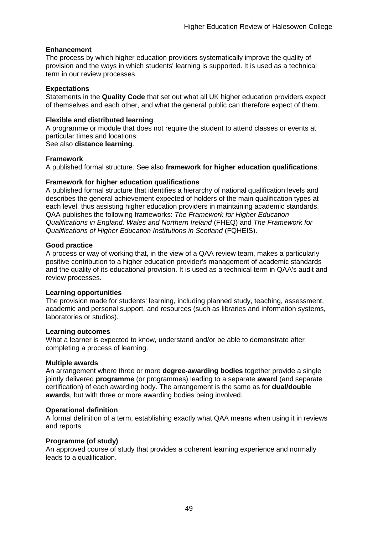#### **Enhancement**

The process by which [higher education providers](http://www.qaa.ac.uk/AboutUs/glossary/Pages/glossary-h.aspx#h2.1) systematically improve the quality of provision and the ways in which students' learning is supported. It is used as a technical term in our review processes.

#### **Expectations**

Statements in the **Quality Code** that set out what all UK [higher education providers](http://newlive.qaa.ac.uk/AboutUs/glossary/Pages/glossary-h.aspx#h2.1) expect of themselves and each other, and what the general public can therefore expect of them.

#### **Flexible and distributed learning**

A [programme](http://newlive.qaa.ac.uk/AboutUs/glossary/Pages/glossary-p.aspx#p12) or [module](http://newlive.qaa.ac.uk/AboutUs/glossary/Pages/glossary-m-o.aspx#m6) that does not require the student to attend classes or events at particular times and locations.

See also **distance learning**.

#### **Framework**

A published formal structure. See also **framework for higher education qualifications**.

#### **Framework for higher education qualifications**

A published formal structure that identifies a hierarchy of national qualification levels and describes the general achievement expected of holders of the main qualification types at each level, thus assisting higher education providers in maintaining academic standards. QAA publishes the following frameworks: *The Framework for Higher Education Qualifications in England, Wales and Northern Ireland* (FHEQ) and *The Framework for Qualifications of Higher Education Institutions in Scotland* (FQHEIS).

#### **Good practice**

A process or way of working that, in the view of a QAA review team, makes a particularly positive contribution to a higher education provider's management of academic standards and the quality of its educational provision. It is used as a technical term in QAA's audit and review processes.

#### **Learning opportunities**

The provision made for students' learning, including planned study, teaching, assessment, academic and personal support, and resources (such as libraries and information systems, laboratories or studios).

#### **Learning outcomes**

What a learner is expected to know, understand and/or be able to demonstrate after completing a process of learning.

#### **Multiple awards**

An arrangement where three or more **degree-awarding bodies** together provide a single jointly delivered **programme** (or programmes) leading to a separate **award** (and separate certification) of each awarding body. The arrangement is the same as for **dual/double awards**, but with three or more awarding bodies being involved.

#### **Operational definition**

A formal definition of a term, establishing exactly what QAA means when using it in reviews and reports.

#### **Programme (of study)**

An approved course of study that provides a coherent learning experience and normally leads to a qualification.